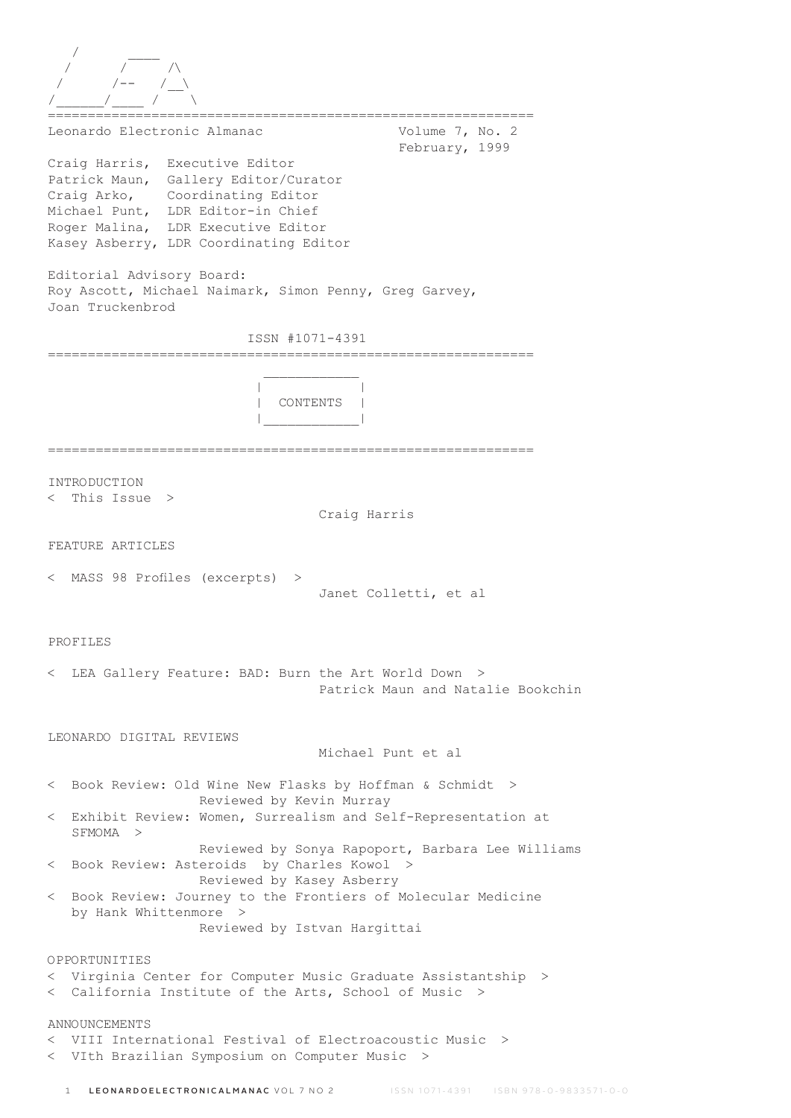| Leonardo Electronic Almanac                                                                                                                                                                                                    | Volume 7, No. 2<br>February, 1999                |
|--------------------------------------------------------------------------------------------------------------------------------------------------------------------------------------------------------------------------------|--------------------------------------------------|
| Craig Harris, Executive Editor<br>Patrick Maun, Gallery Editor/Curator<br>Craig Arko, Coordinating Editor<br>Michael Punt, LDR Editor-in Chief<br>Roger Malina, LDR Executive Editor<br>Kasey Asberry, LDR Coordinating Editor |                                                  |
| Editorial Advisory Board:<br>Roy Ascott, Michael Naimark, Simon Penny, Greg Garvey,<br>Joan Truckenbrod                                                                                                                        |                                                  |
| ISSN #1071-4391                                                                                                                                                                                                                |                                                  |
| CONTENTS                                                                                                                                                                                                                       |                                                  |
| INTRODUCTION                                                                                                                                                                                                                   |                                                  |
| This Issue ><br>$\,<\,$                                                                                                                                                                                                        | Craig Harris                                     |
|                                                                                                                                                                                                                                |                                                  |
| FEATURE ARTICLES                                                                                                                                                                                                               |                                                  |
| < MASS 98 Profiles (excerpts) >                                                                                                                                                                                                | Janet Colletti, et al                            |
| PROFILES                                                                                                                                                                                                                       |                                                  |
| < LEA Gallery Feature: BAD: Burn the Art World Down >                                                                                                                                                                          | Patrick Maun and Natalie Bookchin                |
| LEONARDO DIGITAL REVIEWS                                                                                                                                                                                                       |                                                  |
|                                                                                                                                                                                                                                | Michael Punt et al                               |
| < Book Review: Old Wine New Flasks by Hoffman & Schmidt ><br>Reviewed by Kevin Murray                                                                                                                                          |                                                  |
| < Exhibit Review: Women, Surrealism and Self-Representation at<br>SFMOMA >                                                                                                                                                     |                                                  |
| < Book Review: Asteroids by Charles Kowol ><br>Reviewed by Kasey Asberry                                                                                                                                                       | Reviewed by Sonya Rapoport, Barbara Lee Williams |
| < Book Review: Journey to the Frontiers of Molecular Medicine<br>by Hank Whittenmore ><br>Reviewed by Istvan Hargittai                                                                                                         |                                                  |
| OPPORTUNITIES                                                                                                                                                                                                                  |                                                  |
| < Virginia Center for Computer Music Graduate Assistantship ><br>< California Institute of the Arts, School of Music >                                                                                                         |                                                  |
| <b>ANNOUNCEMENTS</b>                                                                                                                                                                                                           |                                                  |
| < VIII International Festival of Electroacoustic Music >                                                                                                                                                                       |                                                  |
| < VIth Brazilian Symposium on Computer Music >                                                                                                                                                                                 |                                                  |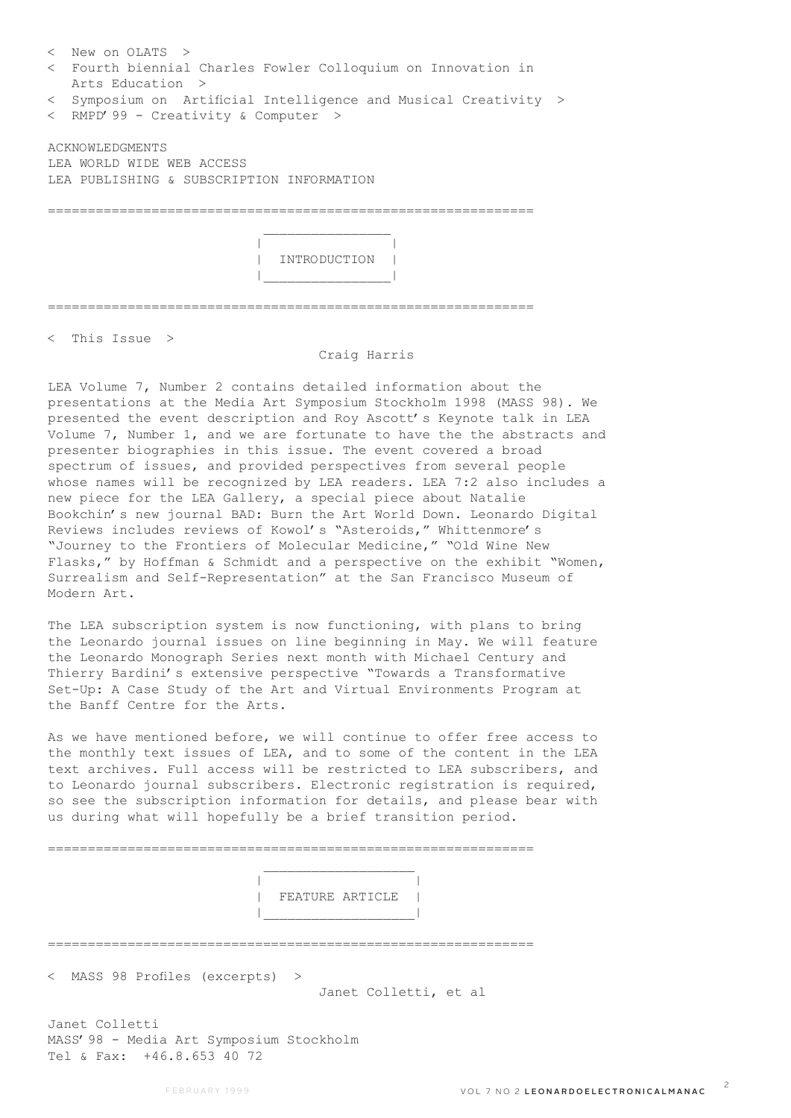| $\langle$ New on OLATS $\rangle$                                |  |  |  |
|-----------------------------------------------------------------|--|--|--|
| < Fourth biennial Charles Fowler Colloquium on Innovation in    |  |  |  |
| Arts Education >                                                |  |  |  |
| < Symposium on Artificial Intelligence and Musical Creativity > |  |  |  |
| < RMPD' 99 - Creativity & Computer >                            |  |  |  |
| ACKNOWLEDGMENTS                                                 |  |  |  |
| LEA WORLD WIDE WEB ACCESS                                       |  |  |  |
| LEA PUBLISHING & SUBSCRIPTION INFORMATION                       |  |  |  |
|                                                                 |  |  |  |
|                                                                 |  |  |  |
|                                                                 |  |  |  |
| INTRODUCTION                                                    |  |  |  |
|                                                                 |  |  |  |
|                                                                 |  |  |  |
|                                                                 |  |  |  |

< This Issue >

## Craig Harris

LEA Volume 7, Number 2 contains detailed information about the presentations at the Media Art Symposium Stockholm 1998 (MASS 98). We presented the event description and Roy Ascott's Keynote talk in LEA Volume 7, Number 1, and we are fortunate to have the the abstracts and presenter biographies in this issue. The event covered a broad spectrum of issues, and provided perspectives from several people whose names will be recognized by LEA readers. LEA 7:2 also includes a new piece for the LEA Gallery, a special piece about Natalie Bookchin's new journal BAD: Burn the Art World Down. Leonardo Digital Reviews includes reviews of Kowol's "Asteroids," Whittenmore's "Journey to the Frontiers of Molecular Medicine," "Old Wine New Flasks," by Hoffman & Schmidt and a perspective on the exhibit "Women, Surrealism and Self-Representation" at the San Francisco Museum of Modern Art.

The LEA subscription system is now functioning, with plans to bring the Leonardo journal issues on line beginning in May. We will feature the Leonardo Monograph Series next month with Michael Century and Thierry Bardini's extensive perspective "Towards a Transformative Set-Up: A Case Study of the Art and Virtual Environments Program at the Banff Centre for the Arts.

As we have mentioned before, we will continue to offer free access to the monthly text issues of LEA, and to some of the content in the LEA text archives. Full access will be restricted to LEA subscribers, and to Leonardo journal subscribers. Electronic registration is required, so see the subscription information for details, and please bear with us during what will hopefully be a brief transition period.

=============================================================

=============================================================

 | | | FEATURE ARTICLE | |\_\_\_\_\_\_\_\_\_\_\_\_\_\_\_\_\_\_\_|

< MASS 98 Profiles (excerpts) >

Janet Colletti, et al

Janet Colletti MASS'98 - Media Art Symposium Stockholm Tel & Fax: +46.8.653 40 72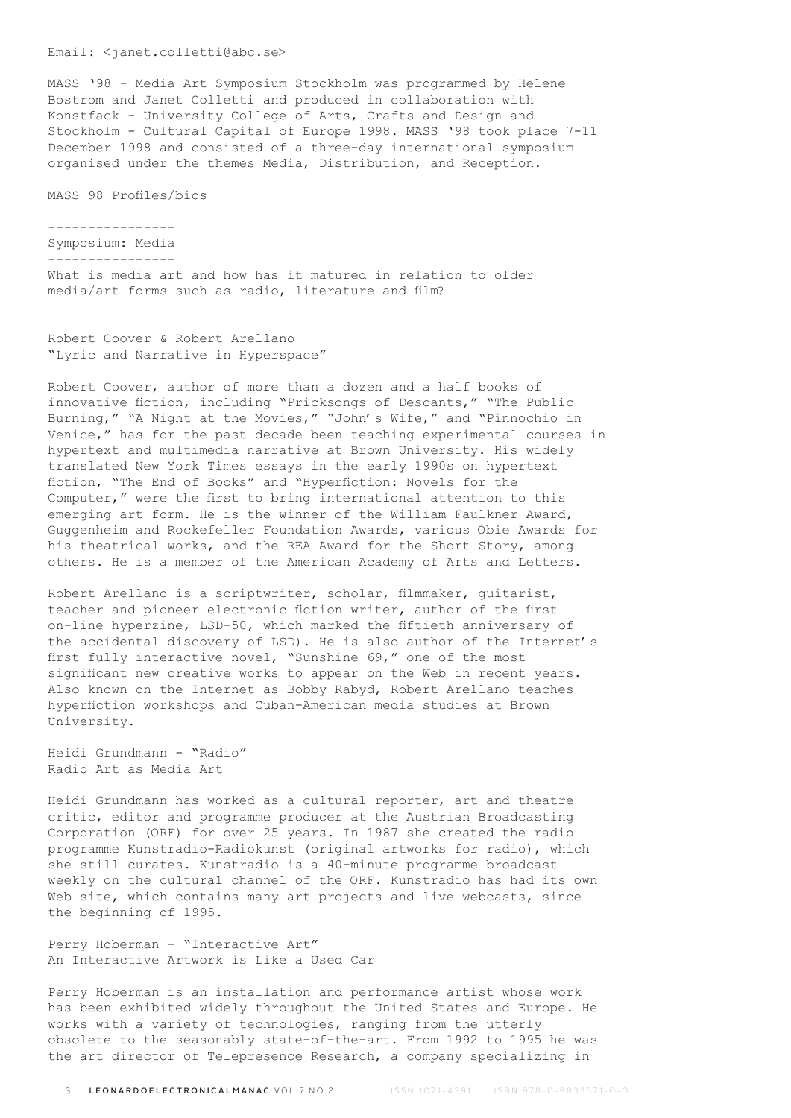## Email: <janet.colletti@abc.se>

MASS '98 - Media Art Symposium Stockholm was programmed by Helene Bostrom and Janet Colletti and produced in collaboration with Konstfack - University College of Arts, Crafts and Design and Stockholm - Cultural Capital of Europe 1998. MASS '98 took place 7-11 December 1998 and consisted of a three-day international symposium organised under the themes Media, Distribution, and Reception.

MASS 98 Profiles/bios

----------------

```
Symposium: Media
----------------
```
What is media art and how has it matured in relation to older media/art forms such as radio, literature and film?

Robert Coover & Robert Arellano "Lyric and Narrative in Hyperspace"

Robert Coover, author of more than a dozen and a half books of innovative fiction, including "Pricksongs of Descants," "The Public Burning," "A Night at the Movies," "John's Wife," and "Pinnochio in Venice," has for the past decade been teaching experimental courses in hypertext and multimedia narrative at Brown University. His widely translated New York Times essays in the early 1990s on hypertext fiction, "The End of Books" and "Hyperfiction: Novels for the Computer," were the first to bring international attention to this emerging art form. He is the winner of the William Faulkner Award, Guggenheim and Rockefeller Foundation Awards, various Obie Awards for his theatrical works, and the REA Award for the Short Story, among others. He is a member of the American Academy of Arts and Letters.

Robert Arellano is a scriptwriter, scholar, filmmaker, guitarist, teacher and pioneer electronic fiction writer, author of the first on-line hyperzine, LSD-50, which marked the fiftieth anniversary of the accidental discovery of LSD). He is also author of the Internet's first fully interactive novel, "Sunshine 69," one of the most significant new creative works to appear on the Web in recent years. Also known on the Internet as Bobby Rabyd, Robert Arellano teaches hyperfiction workshops and Cuban-American media studies at Brown University.

Heidi Grundmann - "Radio" Radio Art as Media Art

Heidi Grundmann has worked as a cultural reporter, art and theatre critic, editor and programme producer at the Austrian Broadcasting Corporation (ORF) for over 25 years. In 1987 she created the radio programme Kunstradio-Radiokunst (original artworks for radio), which she still curates. Kunstradio is a 40-minute programme broadcast weekly on the cultural channel of the ORF. Kunstradio has had its own Web site, which contains many art projects and live webcasts, since the beginning of 1995.

Perry Hoberman - "Interactive Art" An Interactive Artwork is Like a Used Car

Perry Hoberman is an installation and performance artist whose work has been exhibited widely throughout the United States and Europe. He works with a variety of technologies, ranging from the utterly obsolete to the seasonably state-of-the-art. From 1992 to 1995 he was the art director of Telepresence Research, a company specializing in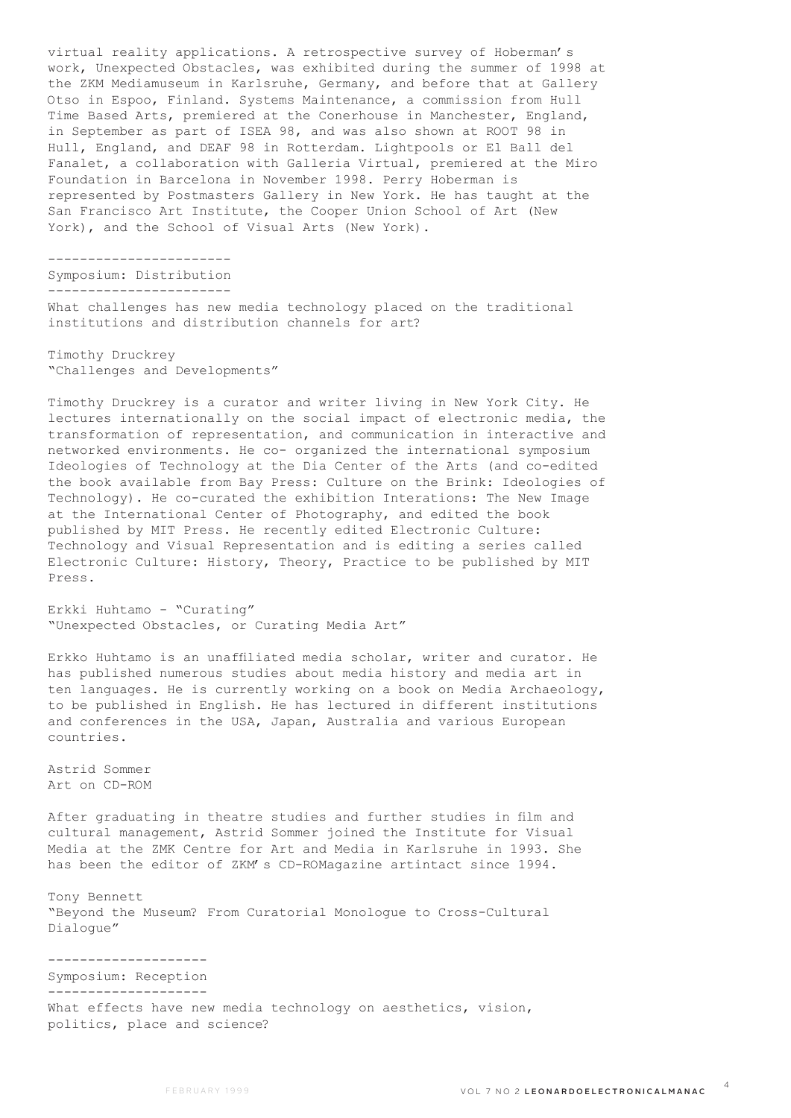virtual reality applications. A retrospective survey of Hoberman's work, Unexpected Obstacles, was exhibited during the summer of 1998 at the ZKM Mediamuseum in Karlsruhe, Germany, and before that at Gallery Otso in Espoo, Finland. Systems Maintenance, a commission from Hull Time Based Arts, premiered at the Conerhouse in Manchester, England, in September as part of ISEA 98, and was also shown at ROOT 98 in Hull, England, and DEAF 98 in Rotterdam. Lightpools or El Ball del Fanalet, a collaboration with Galleria Virtual, premiered at the Miro Foundation in Barcelona in November 1998. Perry Hoberman is represented by Postmasters Gallery in New York. He has taught at the San Francisco Art Institute, the Cooper Union School of Art (New York), and the School of Visual Arts (New York).

----------------------- Symposium: Distribution -----------------------

What challenges has new media technology placed on the traditional institutions and distribution channels for art?

Timothy Druckrey "Challenges and Developments"

Timothy Druckrey is a curator and writer living in New York City. He lectures internationally on the social impact of electronic media, the transformation of representation, and communication in interactive and networked environments. He co- organized the international symposium Ideologies of Technology at the Dia Center of the Arts (and co-edited the book available from Bay Press: Culture on the Brink: Ideologies of Technology). He co-curated the exhibition Interations: The New Image at the International Center of Photography, and edited the book published by MIT Press. He recently edited Electronic Culture: Technology and Visual Representation and is editing a series called Electronic Culture: History, Theory, Practice to be published by MIT Press.

Erkki Huhtamo - "Curating" "Unexpected Obstacles, or Curating Media Art"

Erkko Huhtamo is an unaffiliated media scholar, writer and curator. He has published numerous studies about media history and media art in ten languages. He is currently working on a book on Media Archaeology, to be published in English. He has lectured in different institutions and conferences in the USA, Japan, Australia and various European countries.

Astrid Sommer Art on CD-ROM

After graduating in theatre studies and further studies in film and cultural management, Astrid Sommer joined the Institute for Visual Media at the ZMK Centre for Art and Media in Karlsruhe in 1993. She has been the editor of ZKM's CD-ROMagazine artintact since 1994.

Tony Bennett "Beyond the Museum? From Curatorial Monologue to Cross-Cultural Dialogue"

-------------------- Symposium: Reception --------------------

What effects have new media technology on aesthetics, vision, politics, place and science?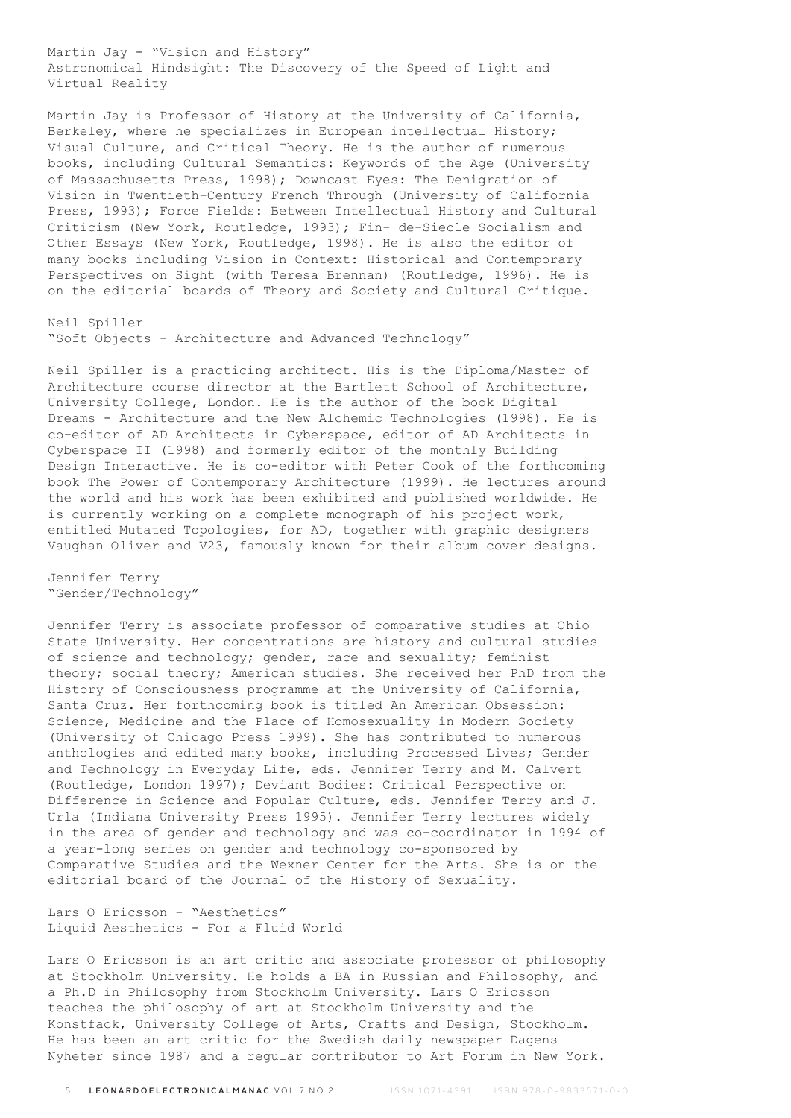Martin Jay - "Vision and History" Astronomical Hindsight: The Discovery of the Speed of Light and Virtual Reality

Martin Jay is Professor of History at the University of California, Berkeley, where he specializes in European intellectual History; Visual Culture, and Critical Theory. He is the author of numerous books, including Cultural Semantics: Keywords of the Age (University of Massachusetts Press, 1998); Downcast Eyes: The Denigration of Vision in Twentieth-Century French Through (University of California Press, 1993); Force Fields: Between Intellectual History and Cultural Criticism (New York, Routledge, 1993); Fin- de-Siecle Socialism and Other Essays (New York, Routledge, 1998). He is also the editor of many books including Vision in Context: Historical and Contemporary Perspectives on Sight (with Teresa Brennan) (Routledge, 1996). He is on the editorial boards of Theory and Society and Cultural Critique.

Neil Spiller "Soft Objects - Architecture and Advanced Technology"

Neil Spiller is a practicing architect. His is the Diploma/Master of Architecture course director at the Bartlett School of Architecture, University College, London. He is the author of the book Digital Dreams - Architecture and the New Alchemic Technologies (1998). He is co-editor of AD Architects in Cyberspace, editor of AD Architects in Cyberspace II (1998) and formerly editor of the monthly Building Design Interactive. He is co-editor with Peter Cook of the forthcoming book The Power of Contemporary Architecture (1999). He lectures around the world and his work has been exhibited and published worldwide. He is currently working on a complete monograph of his project work, entitled Mutated Topologies, for AD, together with graphic designers Vaughan Oliver and V23, famously known for their album cover designs.

Jennifer Terry "Gender/Technology"

Jennifer Terry is associate professor of comparative studies at Ohio State University. Her concentrations are history and cultural studies of science and technology; gender, race and sexuality; feminist theory; social theory; American studies. She received her PhD from the History of Consciousness programme at the University of California, Santa Cruz. Her forthcoming book is titled An American Obsession: Science, Medicine and the Place of Homosexuality in Modern Society (University of Chicago Press 1999). She has contributed to numerous anthologies and edited many books, including Processed Lives; Gender and Technology in Everyday Life, eds. Jennifer Terry and M. Calvert (Routledge, London 1997); Deviant Bodies: Critical Perspective on Difference in Science and Popular Culture, eds. Jennifer Terry and J. Urla (Indiana University Press 1995). Jennifer Terry lectures widely in the area of gender and technology and was co-coordinator in 1994 of a year-long series on gender and technology co-sponsored by Comparative Studies and the Wexner Center for the Arts. She is on the editorial board of the Journal of the History of Sexuality.

Lars O Ericsson - "Aesthetics" Liquid Aesthetics - For a Fluid World

Lars O Ericsson is an art critic and associate professor of philosophy at Stockholm University. He holds a BA in Russian and Philosophy, and a Ph.D in Philosophy from Stockholm University. Lars O Ericsson teaches the philosophy of art at Stockholm University and the Konstfack, University College of Arts, Crafts and Design, Stockholm. He has been an art critic for the Swedish daily newspaper Dagens Nyheter since 1987 and a regular contributor to Art Forum in New York.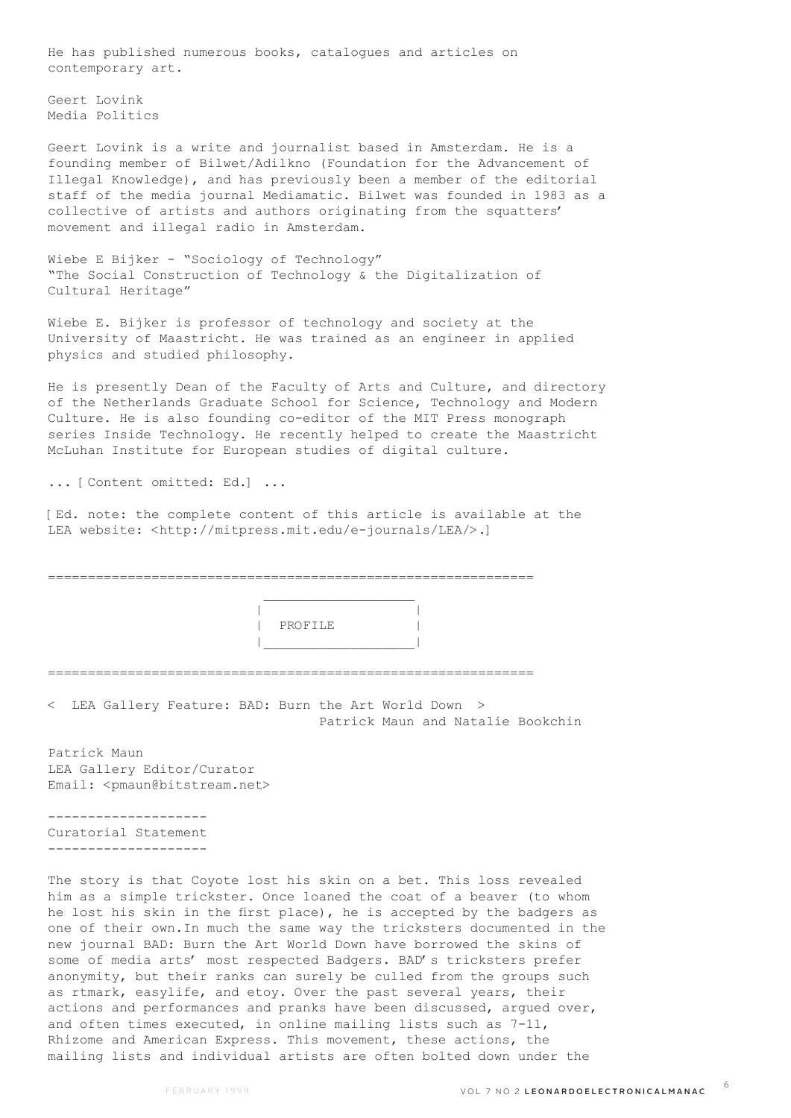He has published numerous books, catalogues and articles on contemporary art.

Geert Lovink Media Politics

Geert Lovink is a write and journalist based in Amsterdam. He is a founding member of Bilwet/Adilkno (Foundation for the Advancement of Illegal Knowledge), and has previously been a member of the editorial staff of the media journal Mediamatic. Bilwet was founded in 1983 as a collective of artists and authors originating from the squatters' movement and illegal radio in Amsterdam.

Wiebe E Bijker - "Sociology of Technology" "The Social Construction of Technology & the Digitalization of Cultural Heritage"

Wiebe E. Bijker is professor of technology and society at the University of Maastricht. He was trained as an engineer in applied physics and studied philosophy.

He is presently Dean of the Faculty of Arts and Culture, and directory of the Netherlands Graduate School for Science, Technology and Modern Culture. He is also founding co-editor of the MIT Press monograph series Inside Technology. He recently helped to create the Maastricht McLuhan Institute for European studies of digital culture.

... [Content omitted: Ed.] ...

[Ed. note: the complete content of this article is available at the LEA website: <http://mitpress.mit.edu/e-journals/LEA/>.]

=============================================================  $\mathcal{L}_\text{max}$  and  $\mathcal{L}_\text{max}$  and  $\mathcal{L}_\text{max}$  and  $\mathcal{L}_\text{max}$  | | | PROFILE | |\_\_\_\_\_\_\_\_\_\_\_\_\_\_\_\_\_\_\_| ============================================================= < LEA Gallery Feature: BAD: Burn the Art World Down > Patrick Maun and Natalie Bookchin

Patrick Maun LEA Gallery Editor/Curator Email: <pmaun@bitstream.net>

-------------------- Curatorial Statement --------------------

The story is that Coyote lost his skin on a bet. This loss revealed him as a simple trickster. Once loaned the coat of a beaver (to whom he lost his skin in the first place), he is accepted by the badgers as one of their own.In much the same way the tricksters documented in the new journal BAD: Burn the Art World Down have borrowed the skins of some of media arts' most respected Badgers. BAD's tricksters prefer anonymity, but their ranks can surely be culled from the groups such as rtmark, easylife, and etoy. Over the past several years, their actions and performances and pranks have been discussed, argued over, and often times executed, in online mailing lists such as 7-11, Rhizome and American Express. This movement, these actions, the mailing lists and individual artists are often bolted down under the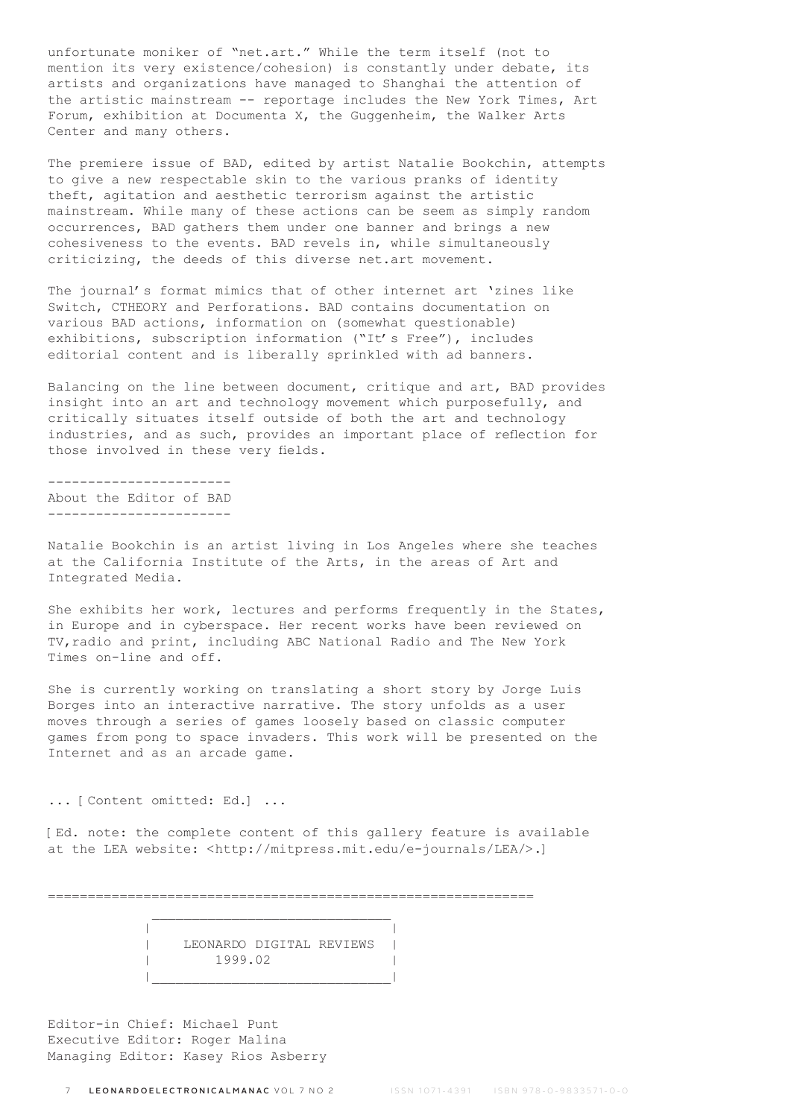unfortunate moniker of "net.art." While the term itself (not to mention its very existence/cohesion) is constantly under debate, its artists and organizations have managed to Shanghai the attention of the artistic mainstream -- reportage includes the New York Times, Art Forum, exhibition at Documenta  $X$ , the Guggenheim, the Walker Arts Center and many others.

The premiere issue of BAD, edited by artist Natalie Bookchin, attempts to give a new respectable skin to the various pranks of identity theft, agitation and aesthetic terrorism against the artistic mainstream. While many of these actions can be seem as simply random occurrences, BAD gathers them under one banner and brings a new cohesiveness to the events. BAD revels in, while simultaneously criticizing, the deeds of this diverse net.art movement.

The journal's format mimics that of other internet art 'zines like Switch, CTHEORY and Perforations. BAD contains documentation on various BAD actions, information on (somewhat questionable) exhibitions, subscription information ("It's Free"), includes editorial content and is liberally sprinkled with ad banners.

Balancing on the line between document, critique and art, BAD provides insight into an art and technology movement which purposefully, and critically situates itself outside of both the art and technology industries, and as such, provides an important place of reflection for those involved in these very fields.

----------------------- About the Editor of BAD -----------------------

Natalie Bookchin is an artist living in Los Angeles where she teaches at the California Institute of the Arts, in the areas of Art and Integrated Media.

She exhibits her work, lectures and performs frequently in the States, in Europe and in cyberspace. Her recent works have been reviewed on TV,radio and print, including ABC National Radio and The New York Times on-line and off.

She is currently working on translating a short story by Jorge Luis Borges into an interactive narrative. The story unfolds as a user moves through a series of games loosely based on classic computer games from pong to space invaders. This work will be presented on the Internet and as an arcade game.

... [Content omitted: Ed.] ...

[Ed. note: the complete content of this gallery feature is available at the LEA website: <http://mitpress.mit.edu/e-journals/LEA/>.]

=============================================================

 | LEONARDO DIGITAL REVIEWS | | 1999.02 | |\_\_\_\_\_\_\_\_\_\_\_\_\_\_\_\_\_\_\_\_\_\_\_\_\_\_\_\_\_\_|

| |

Editor-in Chief: Michael Punt Executive Editor: Roger Malina Managing Editor: Kasey Rios Asberry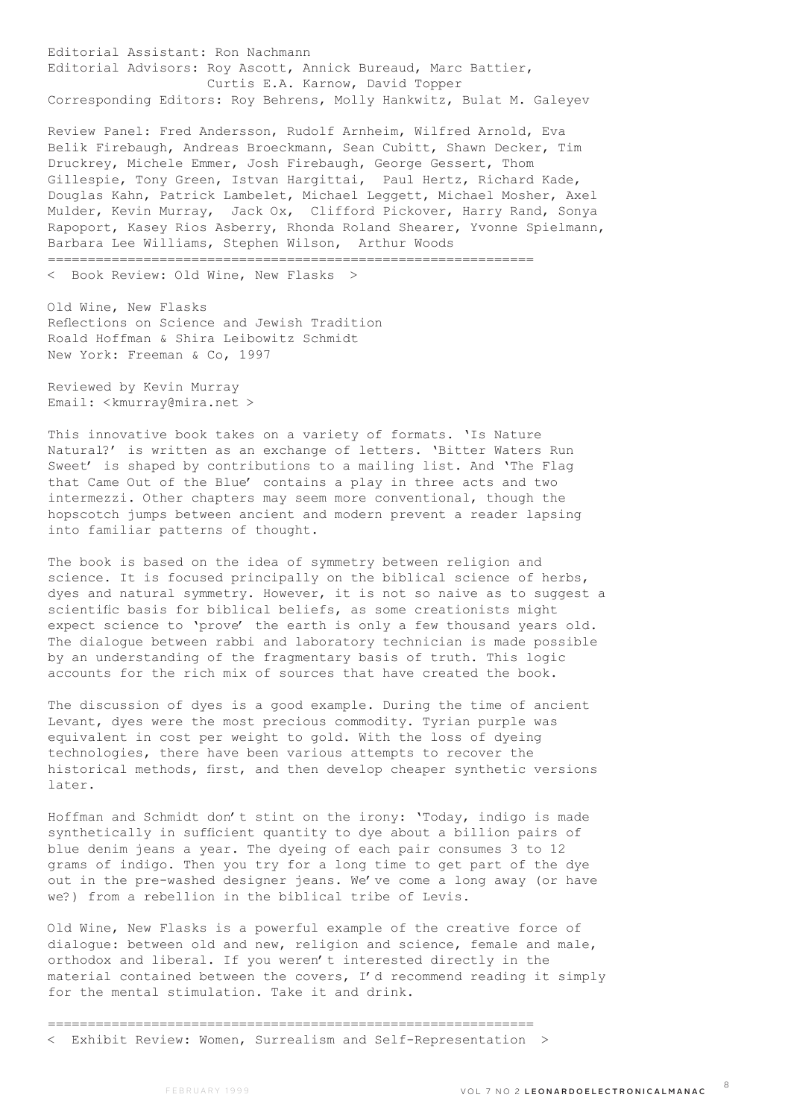Editorial Assistant: Ron Nachmann Editorial Advisors: Roy Ascott, Annick Bureaud, Marc Battier, Curtis E.A. Karnow, David Topper Corresponding Editors: Roy Behrens, Molly Hankwitz, Bulat M. Galeyev

Review Panel: Fred Andersson, Rudolf Arnheim, Wilfred Arnold, Eva Belik Firebaugh, Andreas Broeckmann, Sean Cubitt, Shawn Decker, Tim Druckrey, Michele Emmer, Josh Firebaugh, George Gessert, Thom Gillespie, Tony Green, Istvan Hargittai, Paul Hertz, Richard Kade, Douglas Kahn, Patrick Lambelet, Michael Leggett, Michael Mosher, Axel Mulder, Kevin Murray, Jack Ox, Clifford Pickover, Harry Rand, Sonya Rapoport, Kasey Rios Asberry, Rhonda Roland Shearer, Yvonne Spielmann, Barbara Lee Williams, Stephen Wilson, Arthur Woods =============================================================

< Book Review: Old Wine, New Flasks >

Old Wine, New Flasks Reflections on Science and Jewish Tradition Roald Hoffman & Shira Leibowitz Schmidt New York: Freeman & Co, 1997

Reviewed by Kevin Murray Email: <kmurray@mira.net >

This innovative book takes on a variety of formats. 'Is Nature Natural?' is written as an exchange of letters. 'Bitter Waters Run Sweet' is shaped by contributions to a mailing list. And 'The Flag that Came Out of the Blue' contains a play in three acts and two intermezzi. Other chapters may seem more conventional, though the hopscotch jumps between ancient and modern prevent a reader lapsing into familiar patterns of thought.

The book is based on the idea of symmetry between religion and science. It is focused principally on the biblical science of herbs, dyes and natural symmetry. However, it is not so naive as to suggest a scientific basis for biblical beliefs, as some creationists might expect science to 'prove' the earth is only a few thousand years old. The dialogue between rabbi and laboratory technician is made possible by an understanding of the fragmentary basis of truth. This logic accounts for the rich mix of sources that have created the book.

The discussion of dyes is a good example. During the time of ancient Levant, dyes were the most precious commodity. Tyrian purple was equivalent in cost per weight to gold. With the loss of dyeing technologies, there have been various attempts to recover the historical methods, first, and then develop cheaper synthetic versions later.

Hoffman and Schmidt don't stint on the irony: 'Today, indigo is made synthetically in sufficient quantity to dye about a billion pairs of blue denim jeans a year. The dyeing of each pair consumes 3 to 12 grams of indigo. Then you try for a long time to get part of the dye out in the pre-washed designer jeans. We've come a long away (or have we?) from a rebellion in the biblical tribe of Levis.

Old Wine, New Flasks is a powerful example of the creative force of dialogue: between old and new, religion and science, female and male, orthodox and liberal. If you weren't interested directly in the material contained between the covers, I'd recommend reading it simply for the mental stimulation. Take it and drink.

============================================================= < Exhibit Review: Women, Surrealism and Self-Representation >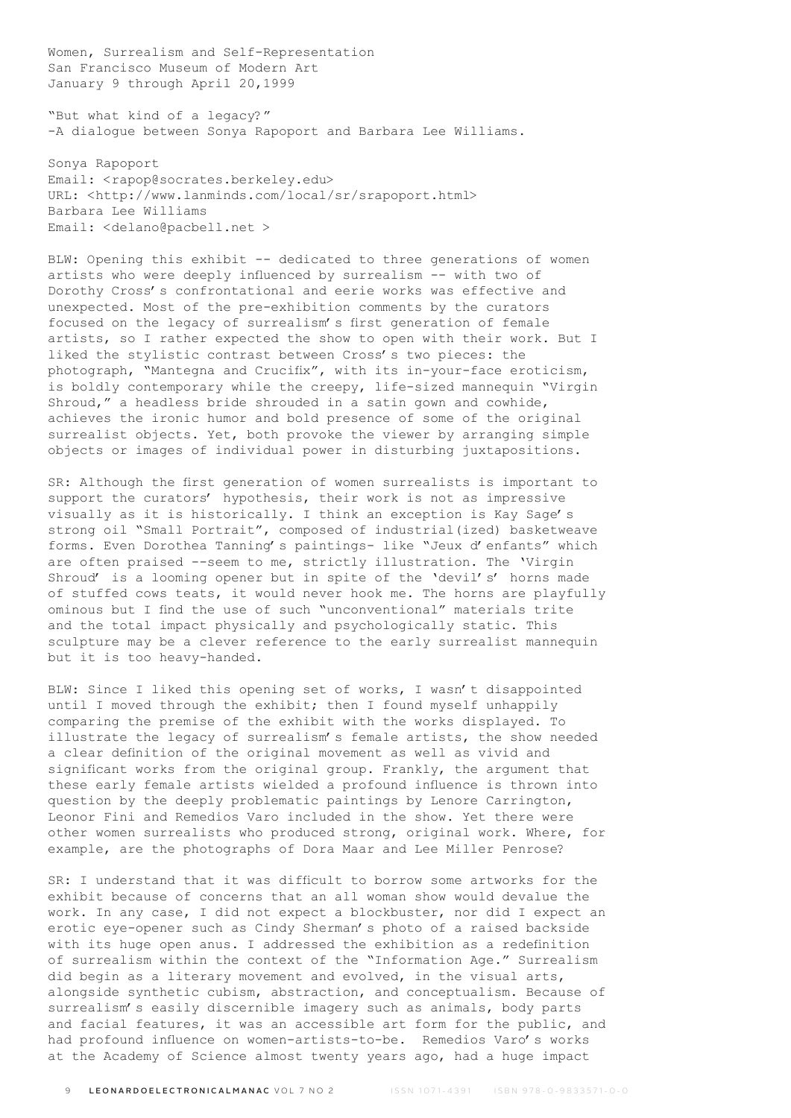Women, Surrealism and Self-Representation San Francisco Museum of Modern Art January 9 through April 20,1999

"But what kind of a legacy?" -A dialogue between Sonya Rapoport and Barbara Lee Williams.

Sonya Rapoport Email: <rapop@socrates.berkeley.edu> URL: <http://www.lanminds.com/local/sr/srapoport.html> Barbara Lee Williams Email: <delano@pacbell.net >

BLW: Opening this exhibit -- dedicated to three generations of women artists who were deeply influenced by surrealism -- with two of Dorothy Cross's confrontational and eerie works was effective and unexpected. Most of the pre-exhibition comments by the curators focused on the legacy of surrealism's first generation of female artists, so I rather expected the show to open with their work. But I liked the stylistic contrast between Cross's two pieces: the photograph, "Mantegna and Crucifix", with its in-your-face eroticism, is boldly contemporary while the creepy, life-sized mannequin "Virgin Shroud," a headless bride shrouded in a satin gown and cowhide, achieves the ironic humor and bold presence of some of the original surrealist objects. Yet, both provoke the viewer by arranging simple objects or images of individual power in disturbing juxtapositions.

SR: Although the first generation of women surrealists is important to support the curators' hypothesis, their work is not as impressive visually as it is historically. I think an exception is Kay Sage's strong oil "Small Portrait", composed of industrial(ized) basketweave forms. Even Dorothea Tanning's paintings- like "Jeux d'enfants" which are often praised --seem to me, strictly illustration. The 'Virgin Shroud' is a looming opener but in spite of the 'devil's' horns made of stuffed cows teats, it would never hook me. The horns are playfully ominous but I find the use of such "unconventional" materials trite and the total impact physically and psychologically static. This sculpture may be a clever reference to the early surrealist mannequin but it is too heavy-handed.

BLW: Since I liked this opening set of works, I wasn't disappointed until I moved through the exhibit; then I found myself unhappily comparing the premise of the exhibit with the works displayed. To illustrate the legacy of surrealism's female artists, the show needed a clear definition of the original movement as well as vivid and significant works from the original group. Frankly, the argument that these early female artists wielded a profound influence is thrown into question by the deeply problematic paintings by Lenore Carrington, Leonor Fini and Remedios Varo included in the show. Yet there were other women surrealists who produced strong, original work. Where, for example, are the photographs of Dora Maar and Lee Miller Penrose?

SR: I understand that it was difficult to borrow some artworks for the exhibit because of concerns that an all woman show would devalue the work. In any case, I did not expect a blockbuster, nor did I expect an erotic eye-opener such as Cindy Sherman's photo of a raised backside with its huge open anus. I addressed the exhibition as a redefinition of surrealism within the context of the "Information Age." Surrealism did begin as a literary movement and evolved, in the visual arts, alongside synthetic cubism, abstraction, and conceptualism. Because of surrealism's easily discernible imagery such as animals, body parts and facial features, it was an accessible art form for the public, and had profound influence on women-artists-to-be. Remedios Varo's works at the Academy of Science almost twenty years ago, had a huge impact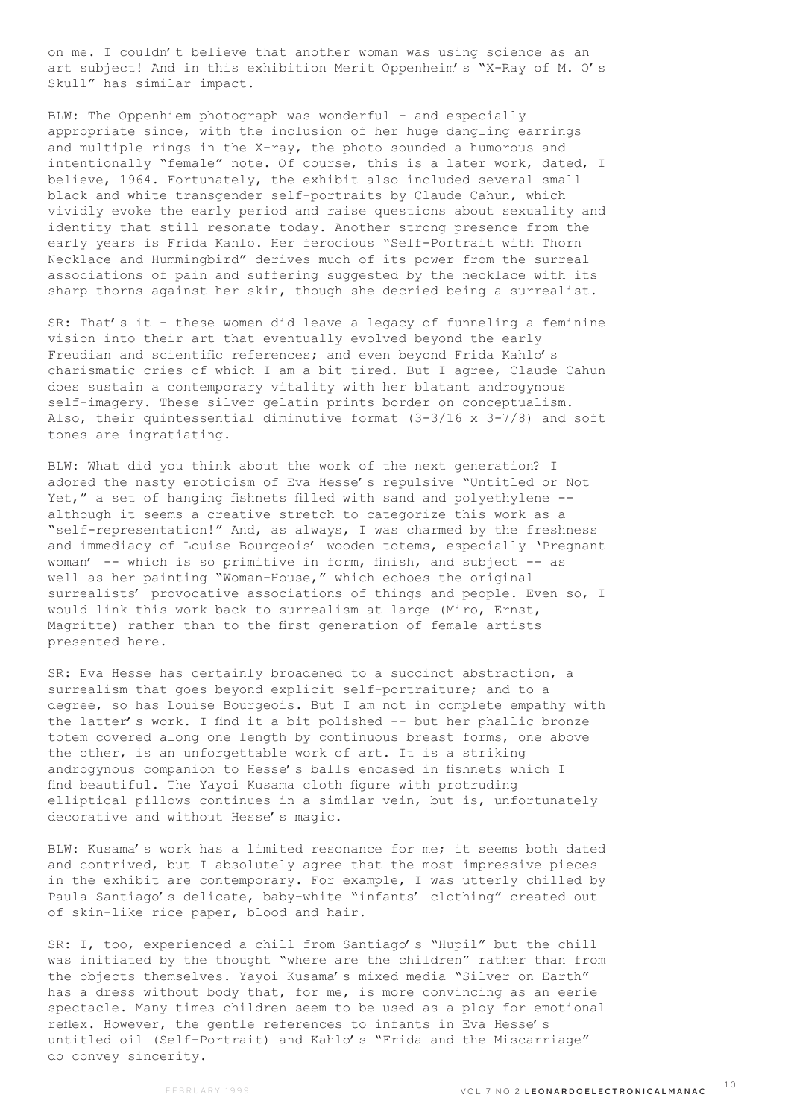on me. I couldn't believe that another woman was using science as an art subject! And in this exhibition Merit Oppenheim's "X-Ray of M. O's Skull" has similar impact.

BLW: The Oppenhiem photograph was wonderful - and especially appropriate since, with the inclusion of her huge dangling earrings and multiple rings in the X-ray, the photo sounded a humorous and intentionally "female" note. Of course, this is a later work, dated, I believe, 1964. Fortunately, the exhibit also included several small black and white transgender self-portraits by Claude Cahun, which vividly evoke the early period and raise questions about sexuality and identity that still resonate today. Another strong presence from the early years is Frida Kahlo. Her ferocious "Self-Portrait with Thorn Necklace and Hummingbird" derives much of its power from the surreal associations of pain and suffering suggested by the necklace with its sharp thorns against her skin, though she decried being a surrealist.

SR: That's it - these women did leave a legacy of funneling a feminine vision into their art that eventually evolved beyond the early Freudian and scientific references; and even beyond Frida Kahlo's charismatic cries of which I am a bit tired. But I agree, Claude Cahun does sustain a contemporary vitality with her blatant androgynous self-imagery. These silver gelatin prints border on conceptualism. Also, their quintessential diminutive format  $(3-3/16 \times 3-7/8)$  and soft tones are ingratiating.

BLW: What did you think about the work of the next generation? I adored the nasty eroticism of Eva Hesse's repulsive "Untitled or Not Yet," a set of hanging fishnets filled with sand and polyethylene - although it seems a creative stretch to categorize this work as a "self-representation!" And, as always, I was charmed by the freshness and immediacy of Louise Bourgeois' wooden totems, especially 'Pregnant woman' -- which is so primitive in form, finish, and subject -- as well as her painting "Woman-House," which echoes the original surrealists' provocative associations of things and people. Even so, I would link this work back to surrealism at large (Miro, Ernst, Magritte) rather than to the first generation of female artists presented here.

SR: Eva Hesse has certainly broadened to a succinct abstraction, a surrealism that goes beyond explicit self-portraiture; and to a degree, so has Louise Bourgeois. But I am not in complete empathy with the latter's work. I find it a bit polished -- but her phallic bronze totem covered along one length by continuous breast forms, one above the other, is an unforgettable work of art. It is a striking androgynous companion to Hesse's balls encased in fishnets which I find beautiful. The Yayoi Kusama cloth figure with protruding elliptical pillows continues in a similar vein, but is, unfortunately decorative and without Hesse's magic.

BLW: Kusama's work has a limited resonance for me; it seems both dated and contrived, but I absolutely agree that the most impressive pieces in the exhibit are contemporary. For example, I was utterly chilled by Paula Santiago's delicate, baby-white "infants' clothing" created out of skin-like rice paper, blood and hair.

SR: I, too, experienced a chill from Santiago's "Hupil" but the chill was initiated by the thought "where are the children" rather than from the objects themselves. Yayoi Kusama's mixed media "Silver on Earth" has a dress without body that, for me, is more convincing as an eerie spectacle. Many times children seem to be used as a ploy for emotional reflex. However, the gentle references to infants in Eva Hesse's untitled oil (Self-Portrait) and Kahlo's "Frida and the Miscarriage" do convey sincerity.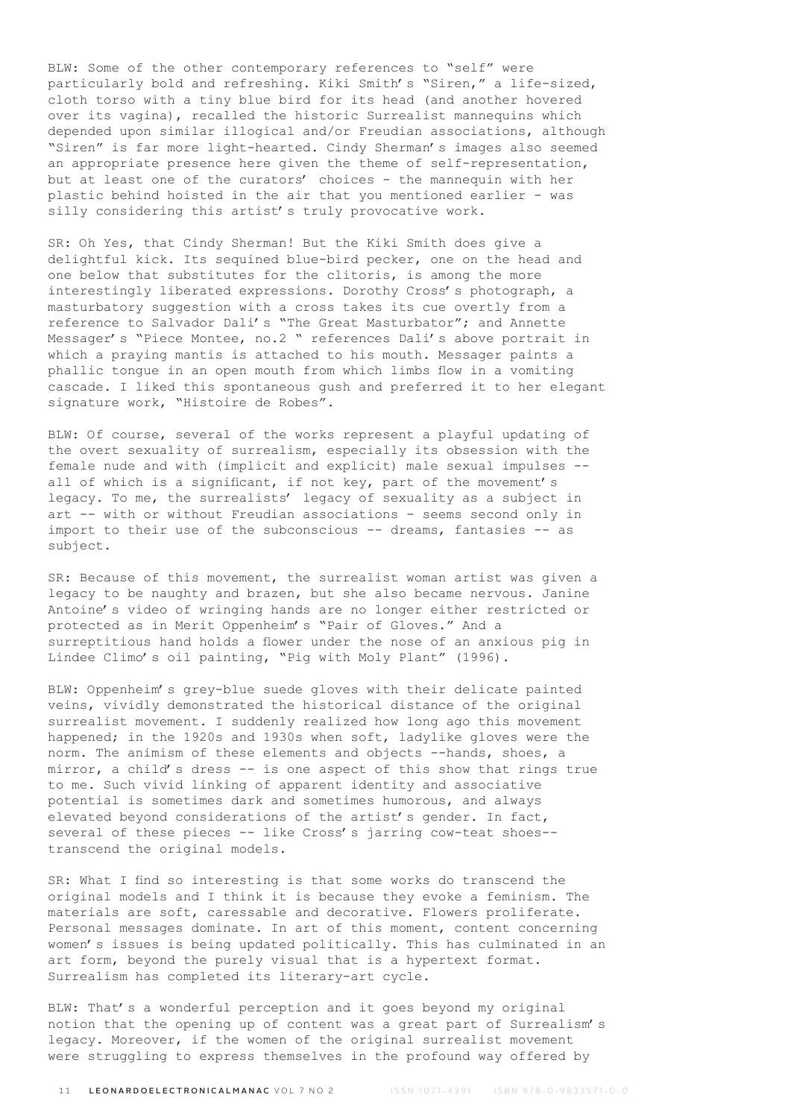BLW: Some of the other contemporary references to "self" were particularly bold and refreshing. Kiki Smith's "Siren," a life-sized, cloth torso with a tiny blue bird for its head (and another hovered over its vagina), recalled the historic Surrealist mannequins which depended upon similar illogical and/or Freudian associations, although "Siren" is far more light-hearted. Cindy Sherman's images also seemed an appropriate presence here given the theme of self-representation, but at least one of the curators' choices - the mannequin with her plastic behind hoisted in the air that you mentioned earlier - was silly considering this artist's truly provocative work.

SR: Oh Yes, that Cindy Sherman! But the Kiki Smith does give a delightful kick. Its sequined blue-bird pecker, one on the head and one below that substitutes for the clitoris, is among the more interestingly liberated expressions. Dorothy Cross's photograph, a masturbatory suggestion with a cross takes its cue overtly from a reference to Salvador Dali's "The Great Masturbator"; and Annette Messager's "Piece Montee, no.2 " references Dali's above portrait in which a praying mantis is attached to his mouth. Messager paints a phallic tongue in an open mouth from which limbs flow in a vomiting cascade. I liked this spontaneous gush and preferred it to her elegant signature work, "Histoire de Robes".

BLW: Of course, several of the works represent a playful updating of the overt sexuality of surrealism, especially its obsession with the female nude and with (implicit and explicit) male sexual impulses - all of which is a significant, if not key, part of the movement's legacy. To me, the surrealists' legacy of sexuality as a subject in art -- with or without Freudian associations - seems second only in import to their use of the subconscious -- dreams, fantasies -- as subject.

SR: Because of this movement, the surrealist woman artist was given a legacy to be naughty and brazen, but she also became nervous. Janine Antoine's video of wringing hands are no longer either restricted or protected as in Merit Oppenheim's "Pair of Gloves." And a surreptitious hand holds a flower under the nose of an anxious pig in Lindee Climo's oil painting, "Pig with Moly Plant" (1996).

BLW: Oppenheim's grey-blue suede gloves with their delicate painted veins, vividly demonstrated the historical distance of the original surrealist movement. I suddenly realized how long ago this movement happened; in the 1920s and 1930s when soft, ladylike gloves were the norm. The animism of these elements and objects --hands, shoes, a mirror, a child's dress -- is one aspect of this show that rings true to me. Such vivid linking of apparent identity and associative potential is sometimes dark and sometimes humorous, and always elevated beyond considerations of the artist's gender. In fact, several of these pieces -- like Cross's jarring cow-teat shoes- transcend the original models.

SR: What I find so interesting is that some works do transcend the original models and I think it is because they evoke a feminism. The materials are soft, caressable and decorative. Flowers proliferate. Personal messages dominate. In art of this moment, content concerning women's issues is being updated politically. This has culminated in an art form, beyond the purely visual that is a hypertext format. Surrealism has completed its literary-art cycle.

BLW: That's a wonderful perception and it goes beyond my original notion that the opening up of content was a great part of Surrealism's legacy. Moreover, if the women of the original surrealist movement were struggling to express themselves in the profound way offered by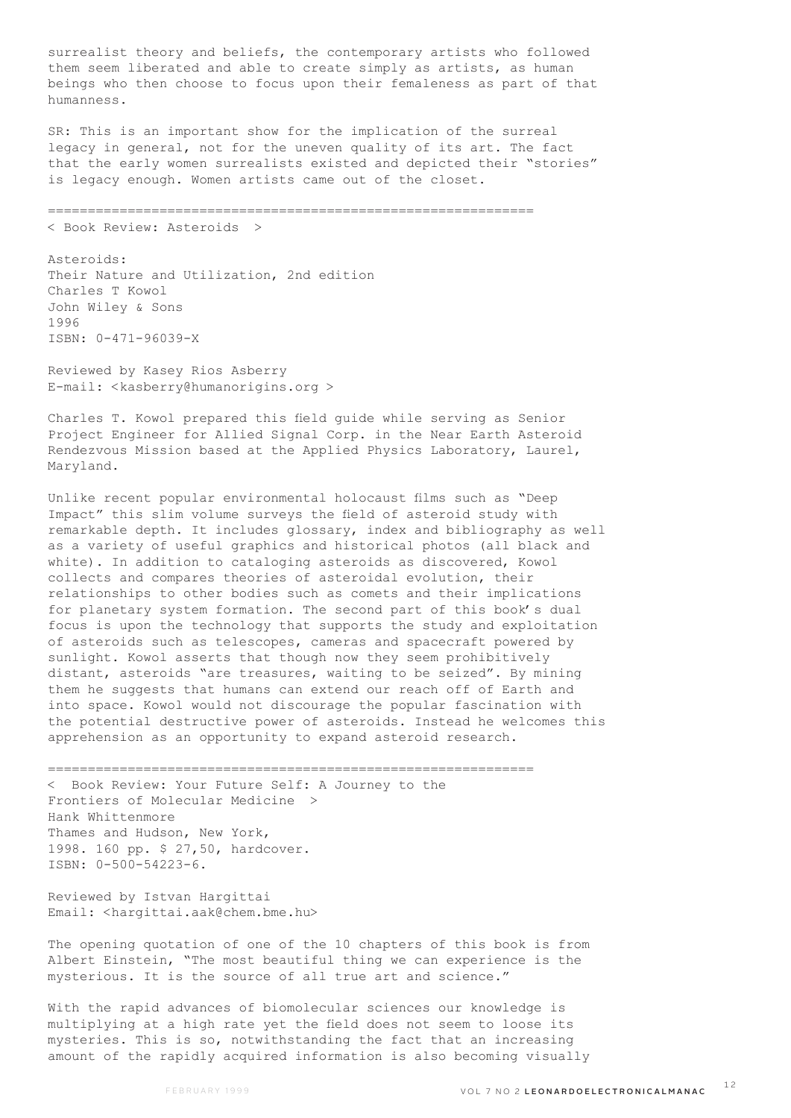surrealist theory and beliefs, the contemporary artists who followed them seem liberated and able to create simply as artists, as human beings who then choose to focus upon their femaleness as part of that humanness.

SR: This is an important show for the implication of the surreal legacy in general, not for the uneven quality of its art. The fact that the early women surrealists existed and depicted their "stories" is legacy enough. Women artists came out of the closet.

=============================================================

< Book Review: Asteroids >

Asteroids: Their Nature and Utilization, 2nd edition Charles T Kowol John Wiley & Sons 1996 ISBN: 0-471-96039-X

Reviewed by Kasey Rios Asberry E-mail: <kasberry@humanorigins.org >

Charles T. Kowol prepared this field guide while serving as Senior Project Engineer for Allied Signal Corp. in the Near Earth Asteroid Rendezvous Mission based at the Applied Physics Laboratory, Laurel, Maryland.

Unlike recent popular environmental holocaust films such as "Deep Impact" this slim volume surveys the field of asteroid study with remarkable depth. It includes glossary, index and bibliography as well as a variety of useful graphics and historical photos (all black and white). In addition to cataloging asteroids as discovered, Kowol collects and compares theories of asteroidal evolution, their relationships to other bodies such as comets and their implications for planetary system formation. The second part of this book's dual focus is upon the technology that supports the study and exploitation of asteroids such as telescopes, cameras and spacecraft powered by sunlight. Kowol asserts that though now they seem prohibitively distant, asteroids "are treasures, waiting to be seized". By mining them he suggests that humans can extend our reach off of Earth and into space. Kowol would not discourage the popular fascination with the potential destructive power of asteroids. Instead he welcomes this apprehension as an opportunity to expand asteroid research.

============================================================= < Book Review: Your Future Self: A Journey to the Frontiers of Molecular Medicine > Hank Whittenmore Thames and Hudson, New York, 1998. 160 pp. \$ 27,50, hardcover. ISBN: 0-500-54223-6.

Reviewed by Istvan Hargittai Email: <hargittai.aak@chem.bme.hu>

The opening quotation of one of the 10 chapters of this book is from Albert Einstein, "The most beautiful thing we can experience is the mysterious. It is the source of all true art and science."

With the rapid advances of biomolecular sciences our knowledge is multiplying at a high rate yet the field does not seem to loose its mysteries. This is so, notwithstanding the fact that an increasing amount of the rapidly acquired information is also becoming visually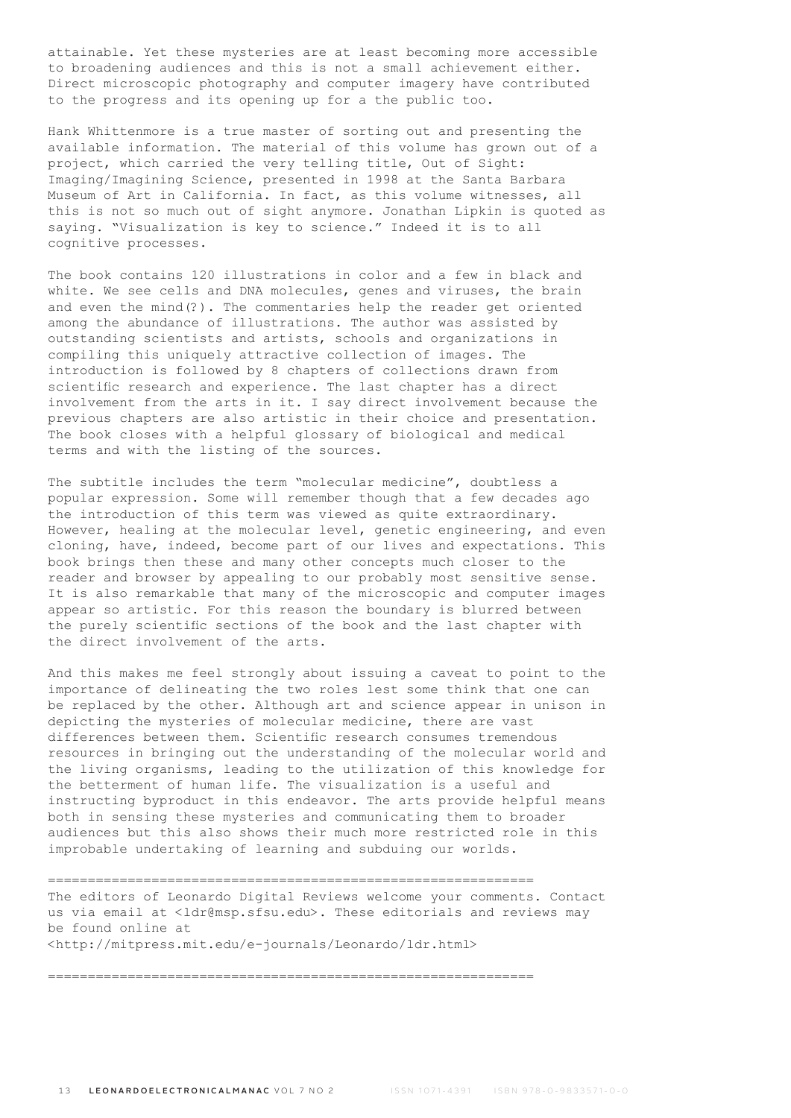attainable. Yet these mysteries are at least becoming more accessible to broadening audiences and this is not a small achievement either. Direct microscopic photography and computer imagery have contributed to the progress and its opening up for a the public too.

Hank Whittenmore is a true master of sorting out and presenting the available information. The material of this volume has grown out of a project, which carried the very telling title, Out of Sight: Imaging/Imagining Science, presented in 1998 at the Santa Barbara Museum of Art in California. In fact, as this volume witnesses, all this is not so much out of sight anymore. Jonathan Lipkin is quoted as saying. "Visualization is key to science." Indeed it is to all cognitive processes.

The book contains 120 illustrations in color and a few in black and white. We see cells and DNA molecules, genes and viruses, the brain and even the mind(?). The commentaries help the reader get oriented among the abundance of illustrations. The author was assisted by outstanding scientists and artists, schools and organizations in compiling this uniquely attractive collection of images. The introduction is followed by 8 chapters of collections drawn from scientific research and experience. The last chapter has a direct involvement from the arts in it. I say direct involvement because the previous chapters are also artistic in their choice and presentation. The book closes with a helpful glossary of biological and medical terms and with the listing of the sources.

The subtitle includes the term "molecular medicine", doubtless a popular expression. Some will remember though that a few decades ago the introduction of this term was viewed as quite extraordinary. However, healing at the molecular level, genetic engineering, and even cloning, have, indeed, become part of our lives and expectations. This book brings then these and many other concepts much closer to the reader and browser by appealing to our probably most sensitive sense. It is also remarkable that many of the microscopic and computer images appear so artistic. For this reason the boundary is blurred between the purely scientific sections of the book and the last chapter with the direct involvement of the arts.

And this makes me feel strongly about issuing a caveat to point to the importance of delineating the two roles lest some think that one can be replaced by the other. Although art and science appear in unison in depicting the mysteries of molecular medicine, there are vast differences between them. Scientific research consumes tremendous resources in bringing out the understanding of the molecular world and the living organisms, leading to the utilization of this knowledge for the betterment of human life. The visualization is a useful and instructing byproduct in this endeavor. The arts provide helpful means both in sensing these mysteries and communicating them to broader audiences but this also shows their much more restricted role in this improbable undertaking of learning and subduing our worlds.

============================================================= The editors of Leonardo Digital Reviews welcome your comments. Contact us via email at <ldr@msp.sfsu.edu>. These editorials and reviews may be found online at <http://mitpress.mit.edu/e-journals/Leonardo/ldr.html>

=============================================================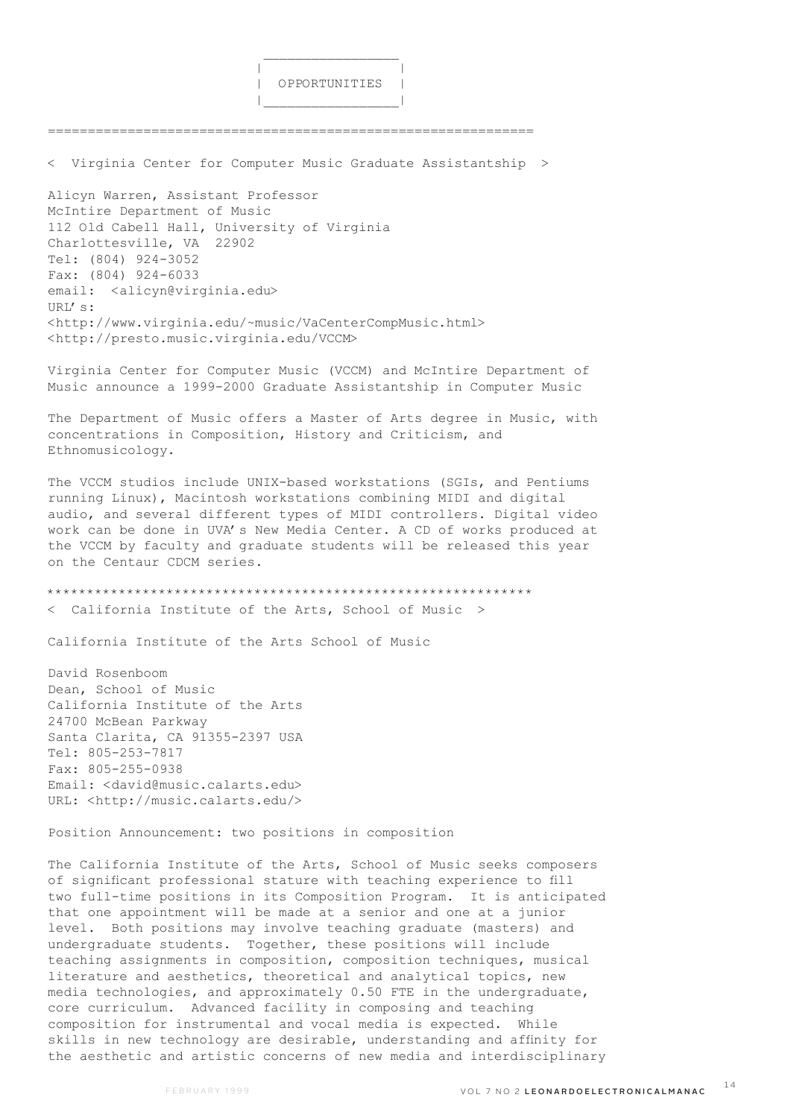|  | OPPORTUNITIES |  |
|--|---------------|--|
|  |               |  |

< Virginia Center for Computer Music Graduate Assistantship >

=============================================================

Alicyn Warren, Assistant Professor McIntire Department of Music 112 Old Cabell Hall, University of Virginia Charlottesville, VA 22902 Tel: (804) 924-3052 Fax: (804) 924-6033 email: <alicyn@virginia.edu> URL's: <http://www.virginia.edu/~music/VaCenterCompMusic.html> <http://presto.music.virginia.edu/VCCM>

 $\mathcal{L}_\mathcal{L}$  , which is a set of the set of the set of the set of the set of the set of the set of the set of the set of the set of the set of the set of the set of the set of the set of the set of the set of the set of

Virginia Center for Computer Music (VCCM) and McIntire Department of Music announce a 1999-2000 Graduate Assistantship in Computer Music

The Department of Music offers a Master of Arts degree in Music, with concentrations in Composition, History and Criticism, and Ethnomusicology.

The VCCM studios include UNIX-based workstations (SGIs, and Pentiums running Linux), Macintosh workstations combining MIDI and digital audio, and several different types of MIDI controllers. Digital video work can be done in UVA's New Media Center. A CD of works produced at the VCCM by faculty and graduate students will be released this year on the Centaur CDCM series.

\*\*\*\*\*\*\*\*\*\*\*\*\*\*\*\*\*\*\*\*\*\*\*\*\*\*\*\*\*\*\*\*\*\*\*\*\*\*\*\*\*\*\*\*\*\*\*\*\*\*\*\*\*\*\*\*\*\*\*\*\* California Institute of the Arts, School of Music >

California Institute of the Arts School of Music

David Rosenboom Dean, School of Music California Institute of the Arts 24700 McBean Parkway Santa Clarita, CA 91355-2397 USA Tel: 805-253-7817 Fax: 805-255-0938 Email: <david@music.calarts.edu> URL: <http://music.calarts.edu/>

Position Announcement: two positions in composition

The California Institute of the Arts, School of Music seeks composers of significant professional stature with teaching experience to fill two full-time positions in its Composition Program. It is anticipated that one appointment will be made at a senior and one at a junior level. Both positions may involve teaching graduate (masters) and undergraduate students. Together, these positions will include teaching assignments in composition, composition techniques, musical literature and aesthetics, theoretical and analytical topics, new media technologies, and approximately 0.50 FTE in the undergraduate, core curriculum. Advanced facility in composing and teaching composition for instrumental and vocal media is expected. While skills in new technology are desirable, understanding and affinity for the aesthetic and artistic concerns of new media and interdisciplinary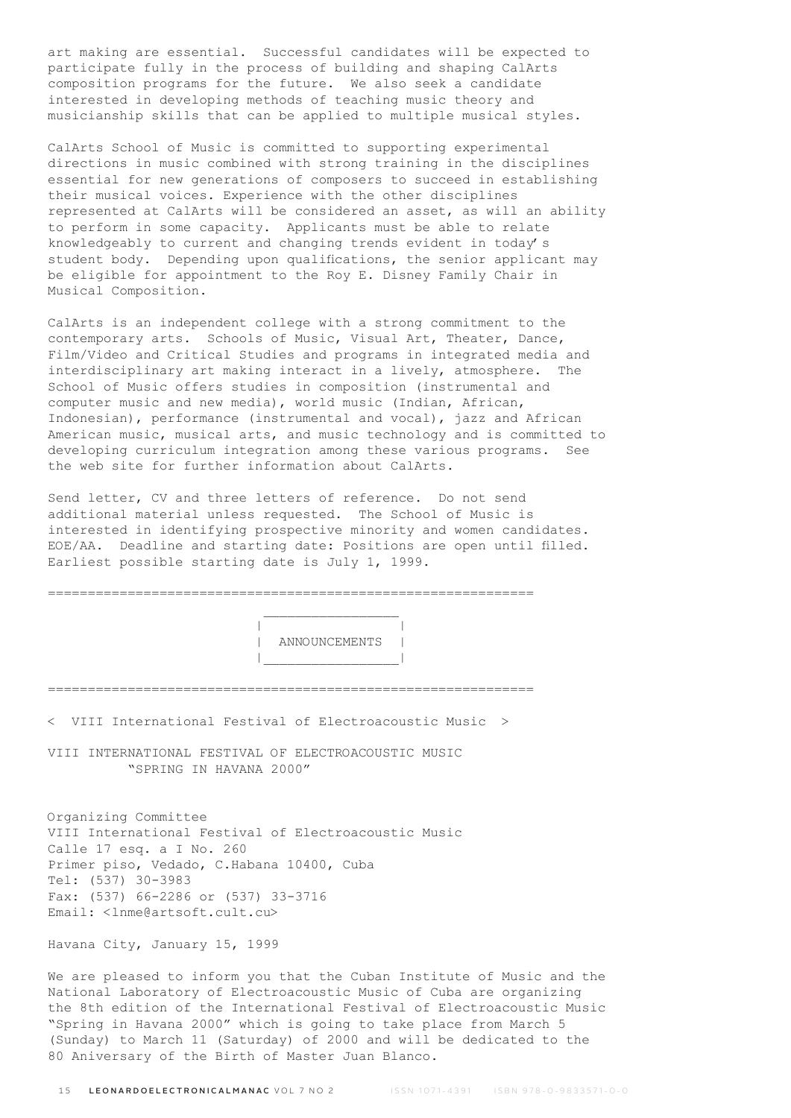art making are essential. Successful candidates will be expected to participate fully in the process of building and shaping CalArts composition programs for the future. We also seek a candidate interested in developing methods of teaching music theory and musicianship skills that can be applied to multiple musical styles.

CalArts School of Music is committed to supporting experimental directions in music combined with strong training in the disciplines essential for new generations of composers to succeed in establishing their musical voices. Experience with the other disciplines represented at CalArts will be considered an asset, as will an ability to perform in some capacity. Applicants must be able to relate knowledgeably to current and changing trends evident in today's student body. Depending upon qualifications, the senior applicant may be eligible for appointment to the Roy E. Disney Family Chair in Musical Composition.

CalArts is an independent college with a strong commitment to the contemporary arts. Schools of Music, Visual Art, Theater, Dance, Film/Video and Critical Studies and programs in integrated media and interdisciplinary art making interact in a lively, atmosphere. The School of Music offers studies in composition (instrumental and computer music and new media), world music (Indian, African, Indonesian), performance (instrumental and vocal), jazz and African American music, musical arts, and music technology and is committed to developing curriculum integration among these various programs. See the web site for further information about CalArts.

Send letter, CV and three letters of reference. Do not send additional material unless requested. The School of Music is interested in identifying prospective minority and women candidates. EOE/AA. Deadline and starting date: Positions are open until filled. Earliest possible starting date is July 1, 1999.

| ANNOUNCEMENTS |  |
|---------------|--|
|               |  |
|               |  |
|               |  |

< VIII International Festival of Electroacoustic Music >

VIII INTERNATIONAL FESTIVAL OF ELECTROACOUSTIC MUSIC "SPRING IN HAVANA 2000"

Organizing Committee VIII International Festival of Electroacoustic Music Calle 17 esq. a I No. 260 Primer piso, Vedado, C.Habana 10400, Cuba Tel: (537) 30-3983 Fax: (537) 66-2286 or (537) 33-3716 Email: <lnme@artsoft.cult.cu>

Havana City, January 15, 1999

We are pleased to inform you that the Cuban Institute of Music and the National Laboratory of Electroacoustic Music of Cuba are organizing the 8th edition of the International Festival of Electroacoustic Music "Spring in Havana 2000" which is going to take place from March 5 (Sunday) to March 11 (Saturday) of 2000 and will be dedicated to the 80 Aniversary of the Birth of Master Juan Blanco.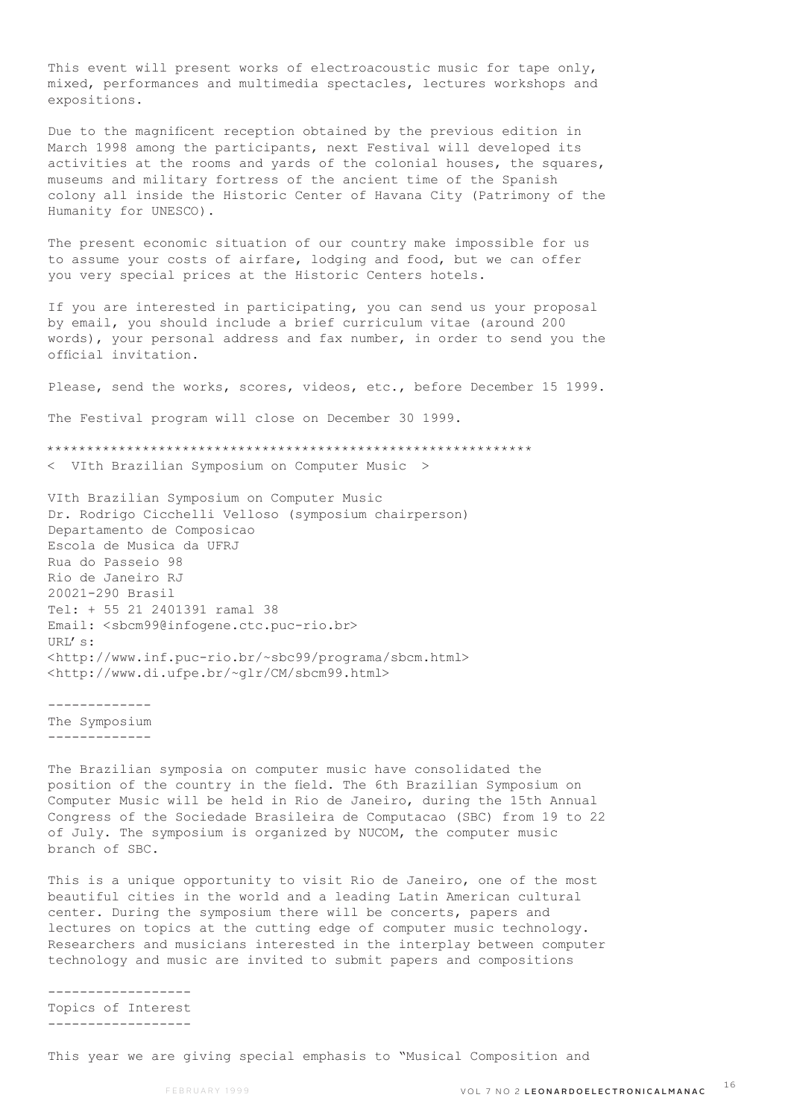This event will present works of electroacoustic music for tape only, mixed, performances and multimedia spectacles, lectures workshops and expositions.

Due to the magnificent reception obtained by the previous edition in March 1998 among the participants, next Festival will developed its activities at the rooms and yards of the colonial houses, the squares, museums and military fortress of the ancient time of the Spanish colony all inside the Historic Center of Havana City (Patrimony of the Humanity for UNESCO).

The present economic situation of our country make impossible for us to assume your costs of airfare, lodging and food, but we can offer you very special prices at the Historic Centers hotels.

If you are interested in participating, you can send us your proposal by email, you should include a brief curriculum vitae (around 200 words), your personal address and fax number, in order to send you the official invitation.

Please, send the works, scores, videos, etc., before December 15 1999.

The Festival program will close on December 30 1999.

\*\*\*\*\*\*\*\*\*\*\*\*\*\*\*\*\*\*\*\*\*\*\*\*\*\*\*\*\*\*\*\*\*\*\*\*\*\*\*\*\*\*\*\*\*\*\*\*\*\*\*\*\*\*\*\*\*\*\*\*\* < VIth Brazilian Symposium on Computer Music >

VIth Brazilian Symposium on Computer Music Dr. Rodrigo Cicchelli Velloso (symposium chairperson) Departamento de Composicao Escola de Musica da UFRJ Rua do Passeio 98 Rio de Janeiro RJ 20021-290 Brasil Tel: + 55 21 2401391 ramal 38 Email: <sbcm99@infogene.ctc.puc-rio.br>  $IIRI.'s$ : <http://www.inf.puc-rio.br/~sbc99/programa/sbcm.html> <http://www.di.ufpe.br/~glr/CM/sbcm99.html>

------------- The Symposium -------------

The Brazilian symposia on computer music have consolidated the position of the country in the field. The 6th Brazilian Symposium on Computer Music will be held in Rio de Janeiro, during the 15th Annual Congress of the Sociedade Brasileira de Computacao (SBC) from 19 to 22 of July. The symposium is organized by NUCOM, the computer music branch of SBC.

This is a unique opportunity to visit Rio de Janeiro, one of the most beautiful cities in the world and a leading Latin American cultural center. During the symposium there will be concerts, papers and lectures on topics at the cutting edge of computer music technology. Researchers and musicians interested in the interplay between computer technology and music are invited to submit papers and compositions

------------------ Topics of Interest ------------------

This year we are giving special emphasis to "Musical Composition and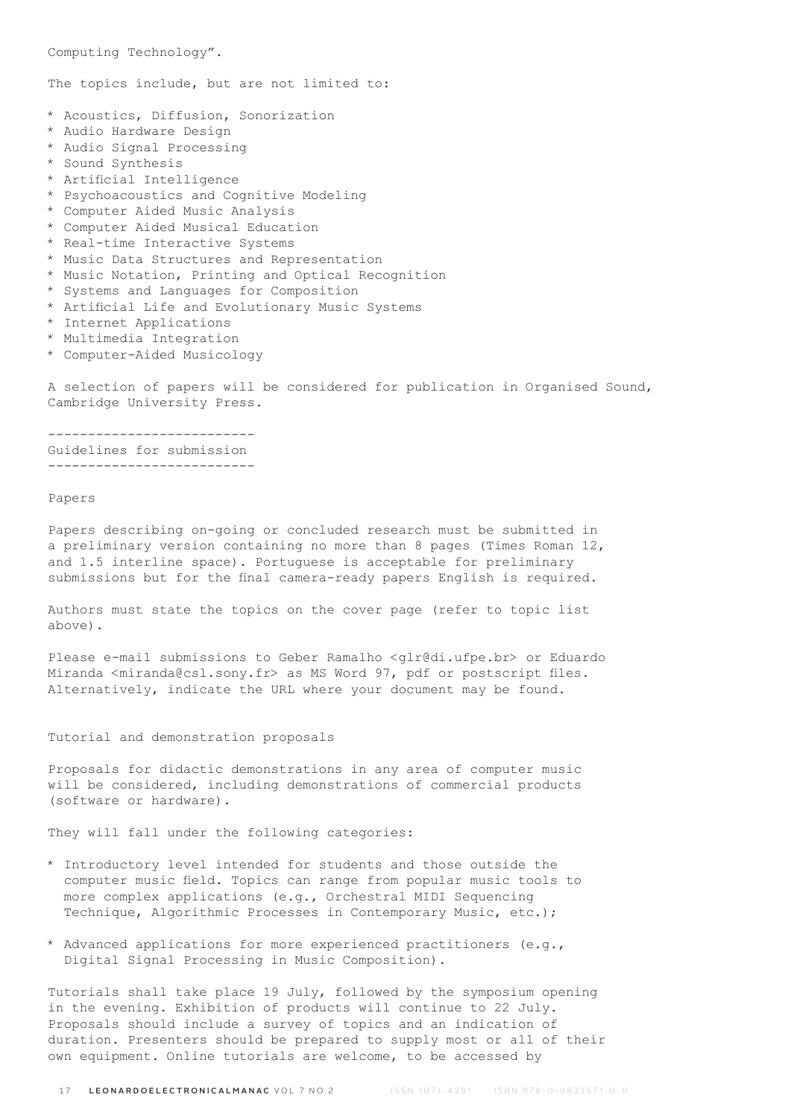Computing Technology".

The topics include, but are not limited to:

- \* Acoustics, Diffusion, Sonorization
- \* Audio Hardware Design
- \* Audio Signal Processing
- \* Sound Synthesis
- \* Artificial Intelligence
- \* Psychoacoustics and Cognitive Modeling
- \* Computer Aided Music Analysis
- \* Computer Aided Musical Education
- \* Real-time Interactive Systems
- \* Music Data Structures and Representation
- \* Music Notation, Printing and Optical Recognition
- \* Systems and Languages for Composition
- \* Artificial Life and Evolutionary Music Systems
- \* Internet Applications
- \* Multimedia Integration
- \* Computer-Aided Musicology

A selection of papers will be considered for publication in Organised Sound, Cambridge University Press.

-------------------------- Guidelines for submission --------------------------

## Papers

Papers describing on-going or concluded research must be submitted in a preliminary version containing no more than 8 pages (Times Roman 12, and 1.5 interline space). Portuguese is acceptable for preliminary submissions but for the final camera-ready papers English is required.

Authors must state the topics on the cover page (refer to topic list above).

Please e-mail submissions to Geber Ramalho <glr@di.ufpe.br> or Eduardo Miranda <miranda@csl.sony.fr> as MS Word 97, pdf or postscript files. Alternatively, indicate the URL where your document may be found.

Tutorial and demonstration proposals

Proposals for didactic demonstrations in any area of computer music will be considered, including demonstrations of commercial products (software or hardware).

They will fall under the following categories:

- \* Introductory level intended for students and those outside the computer music field. Topics can range from popular music tools to more complex applications (e.g., Orchestral MIDI Sequencing Technique, Algorithmic Processes in Contemporary Music, etc.);
- \* Advanced applications for more experienced practitioners (e.g., Digital Signal Processing in Music Composition).

Tutorials shall take place 19 July, followed by the symposium opening in the evening. Exhibition of products will continue to 22 July. Proposals should include a survey of topics and an indication of duration. Presenters should be prepared to supply most or all of their own equipment. Online tutorials are welcome, to be accessed by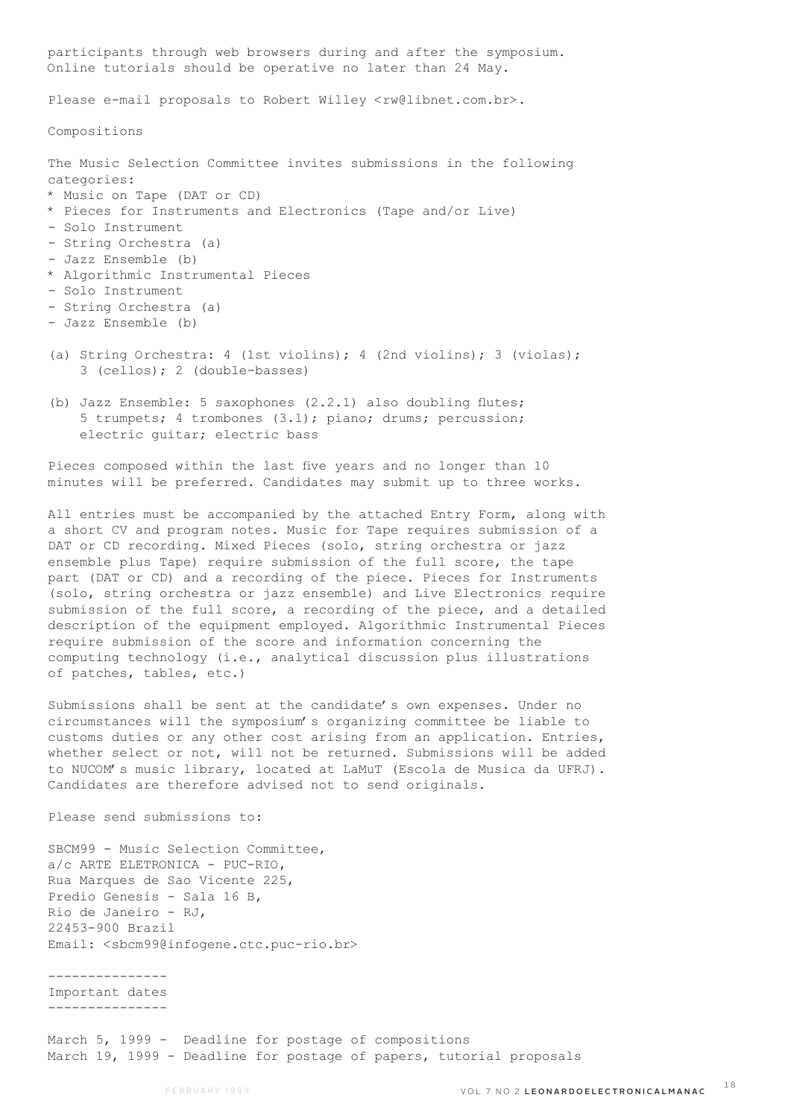participants through web browsers during and after the symposium. Online tutorials should be operative no later than 24 May. Please e-mail proposals to Robert Willey <rw@libnet.com.br>. Compositions The Music Selection Committee invites submissions in the following categories: \* Music on Tape (DAT or CD) \* Pieces for Instruments and Electronics (Tape and/or Live) - Solo Instrument - String Orchestra (a) - Jazz Ensemble (b) \* Algorithmic Instrumental Pieces - Solo Instrument - String Orchestra (a) - Jazz Ensemble (b) (a) String Orchestra: 4 (1st violins); 4 (2nd violins); 3 (violas); 3 (cellos); 2 (double-basses)

(b) Jazz Ensemble: 5 saxophones  $(2.2.1)$  also doubling flutes; 5 trumpets; 4 trombones (3.1); piano; drums; percussion; electric guitar; electric bass

Pieces composed within the last five years and no longer than 10 minutes will be preferred. Candidates may submit up to three works.

All entries must be accompanied by the attached Entry Form, along with a short CV and program notes. Music for Tape requires submission of a DAT or CD recording. Mixed Pieces (solo, string orchestra or jazz ensemble plus Tape) require submission of the full score, the tape part (DAT or CD) and a recording of the piece. Pieces for Instruments (solo, string orchestra or jazz ensemble) and Live Electronics require submission of the full score, a recording of the piece, and a detailed description of the equipment employed. Algorithmic Instrumental Pieces require submission of the score and information concerning the computing technology (i.e., analytical discussion plus illustrations of patches, tables, etc.)

Submissions shall be sent at the candidate's own expenses. Under no circumstances will the symposium's organizing committee be liable to customs duties or any other cost arising from an application. Entries, whether select or not, will not be returned. Submissions will be added to NUCOM's music library, located at LaMuT (Escola de Musica da UFRJ). Candidates are therefore advised not to send originals.

Please send submissions to:

SBCM99 - Music Selection Committee, a/c ARTE ELETRONICA - PUC-RIO, Rua Marques de Sao Vicente 225, Predio Genesis - Sala 16 B, Rio de Janeiro - RJ, 22453-900 Brazil Email: <sbcm99@infogene.ctc.puc-rio.br>

---------------

Important dates ---------------

March 5, 1999 - Deadline for postage of compositions March 19, 1999 - Deadline for postage of papers, tutorial proposals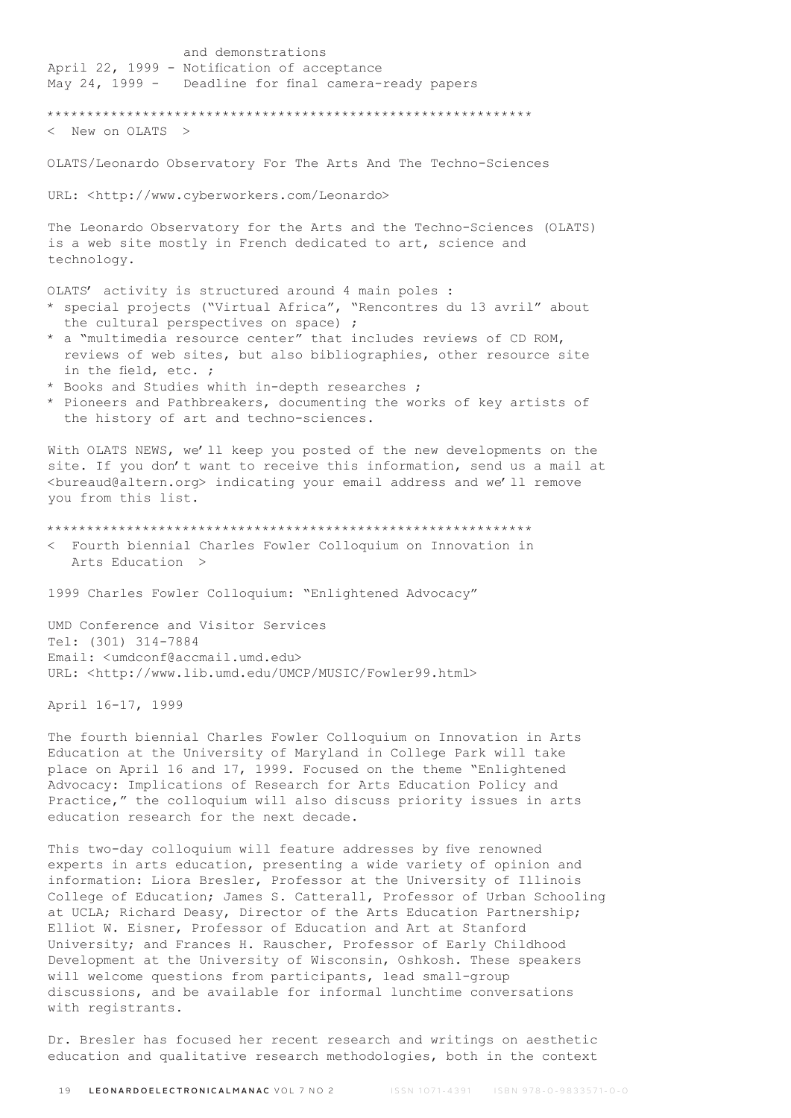and demonstrations April 22, 1999 - Notification of acceptance May 24, 1999 - Deadline for final camera-ready papers \*\*\*\*\*\*\*\*\*\*\*\*\*\*\*\*\*\*\*\*\*\*\*\*\*\*\*\*\*\*\*\*\*\*\*\*\*\*\*\*\*\*\*\*\*\*\*\*\*\*\*\*\*\*\*\*\*\*\*\*\* < New on OLATS > OLATS/Leonardo Observatory For The Arts And The Techno-Sciences URL: <http://www.cyberworkers.com/Leonardo> The Leonardo Observatory for the Arts and the Techno-Sciences (OLATS) is a web site mostly in French dedicated to art, science and technology. OLATS' activity is structured around 4 main poles : \* special projects ("Virtual Africa", "Rencontres du 13 avril" about the cultural perspectives on space) ; \* a "multimedia resource center" that includes reviews of CD ROM, reviews of web sites, but also bibliographies, other resource site in the field, etc. ; \* Books and Studies whith in-depth researches ; \* Pioneers and Pathbreakers, documenting the works of key artists of the history of art and techno-sciences. With OLATS NEWS, we'll keep you posted of the new developments on the site. If you don't want to receive this information, send us a mail at <bureaud@altern.org> indicating your email address and we'll remove you from this list. \*\*\*\*\*\*\*\*\*\*\*\*\*\*\*\*\*\*\*\*\*\*\*\*\*\*\*\*\*\*\*\*\*\*\*\*\*\*\*\*\*\*\*\*\*\*\*\*\*\*\*\*\*\*\*\*\*\*\*\*\* < Fourth biennial Charles Fowler Colloquium on Innovation in Arts Education > 1999 Charles Fowler Colloquium: "Enlightened Advocacy" UMD Conference and Visitor Services Tel: (301) 314-7884 Email: <umdconf@accmail.umd.edu> URL: <http://www.lib.umd.edu/UMCP/MUSIC/Fowler99.html> April 16-17, 1999 The fourth biennial Charles Fowler Colloquium on Innovation in Arts Education at the University of Maryland in College Park will take place on April 16 and 17, 1999. Focused on the theme "Enlightened Advocacy: Implications of Research for Arts Education Policy and Practice," the colloquium will also discuss priority issues in arts education research for the next decade. This two-day colloquium will feature addresses by five renowned

experts in arts education, presenting a wide variety of opinion and information: Liora Bresler, Professor at the University of Illinois College of Education; James S. Catterall, Professor of Urban Schooling at UCLA; Richard Deasy, Director of the Arts Education Partnership; Elliot W. Eisner, Professor of Education and Art at Stanford University; and Frances H. Rauscher, Professor of Early Childhood Development at the University of Wisconsin, Oshkosh. These speakers will welcome questions from participants, lead small-group discussions, and be available for informal lunchtime conversations with registrants.

Dr. Bresler has focused her recent research and writings on aesthetic education and qualitative research methodologies, both in the context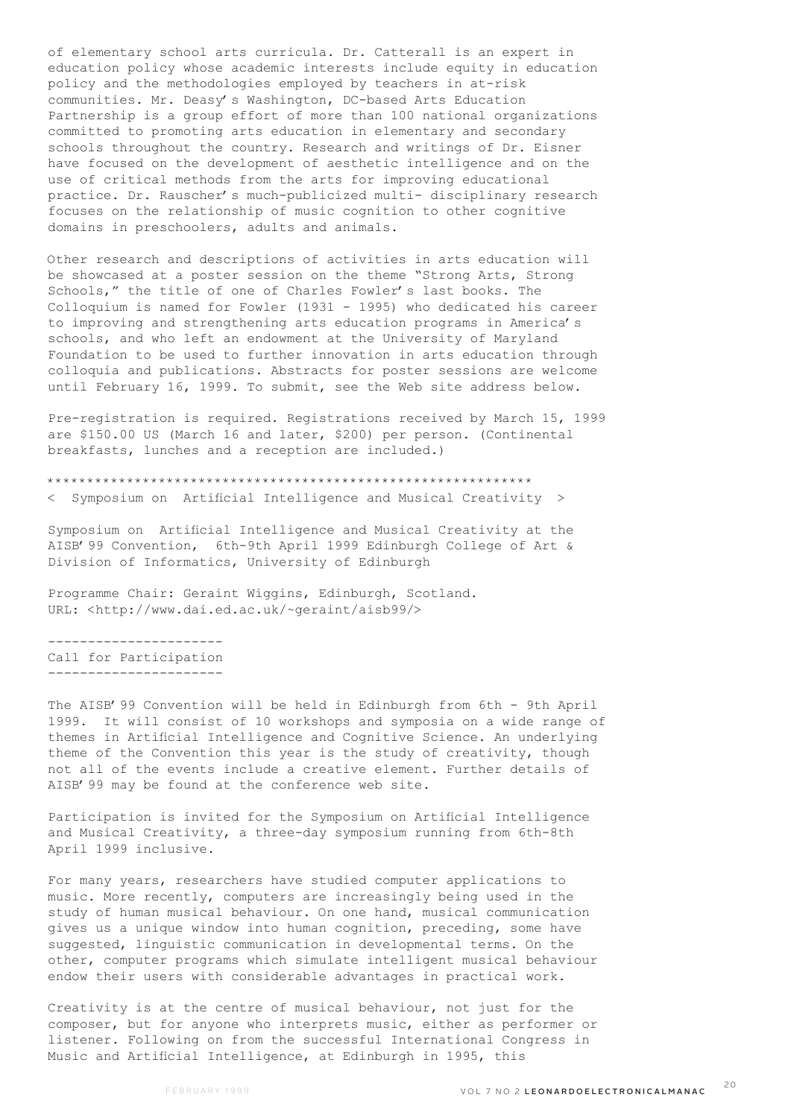of elementary school arts curricula. Dr. Catterall is an expert in education policy whose academic interests include equity in education policy and the methodologies employed by teachers in at-risk communities. Mr. Deasy's Washington, DC-based Arts Education Partnership is a group effort of more than 100 national organizations committed to promoting arts education in elementary and secondary schools throughout the country. Research and writings of Dr. Eisner have focused on the development of aesthetic intelligence and on the use of critical methods from the arts for improving educational practice. Dr. Rauscher's much-publicized multi- disciplinary research focuses on the relationship of music cognition to other cognitive domains in preschoolers, adults and animals.

Other research and descriptions of activities in arts education will be showcased at a poster session on the theme "Strong Arts, Strong Schools," the title of one of Charles Fowler's last books. The Colloquium is named for Fowler (1931 - 1995) who dedicated his career to improving and strengthening arts education programs in America's schools, and who left an endowment at the University of Maryland Foundation to be used to further innovation in arts education through colloquia and publications. Abstracts for poster sessions are welcome until February 16, 1999. To submit, see the Web site address below.

Pre-registration is required. Registrations received by March 15, 1999 are \$150.00 US (March 16 and later, \$200) per person. (Continental breakfasts, lunches and a reception are included.)

\*\*\*\*\*\*\*\*\*\*\*\*\*\*\*\*\*\*\*\*\*\*\*\*\*\*\*\*\*\*\*\*\*\*\*\*\*\*\*\*\*\*\*\*\*\*\*\*\*\*\*\*\*\*\*\*\*\*\*\*\*

< Symposium on Artificial Intelligence and Musical Creativity >

Symposium on Artificial Intelligence and Musical Creativity at the AISB'99 Convention, 6th-9th April 1999 Edinburgh College of Art & Division of Informatics, University of Edinburgh

Programme Chair: Geraint Wiggins, Edinburgh, Scotland. URL: <http://www.dai.ed.ac.uk/~geraint/aisb99/>

---------------------- Call for Participation ----------------------

The AISB'99 Convention will be held in Edinburgh from 6th - 9th April 1999. It will consist of 10 workshops and symposia on a wide range of themes in Artificial Intelligence and Cognitive Science. An underlying theme of the Convention this year is the study of creativity, though not all of the events include a creative element. Further details of AISB'99 may be found at the conference web site.

Participation is invited for the Symposium on Artificial Intelligence and Musical Creativity, a three-day symposium running from 6th-8th April 1999 inclusive.

For many years, researchers have studied computer applications to music. More recently, computers are increasingly being used in the study of human musical behaviour. On one hand, musical communication gives us a unique window into human cognition, preceding, some have suggested, linguistic communication in developmental terms. On the other, computer programs which simulate intelligent musical behaviour endow their users with considerable advantages in practical work.

Creativity is at the centre of musical behaviour, not just for the composer, but for anyone who interprets music, either as performer or listener. Following on from the successful International Congress in Music and Artificial Intelligence, at Edinburgh in 1995, this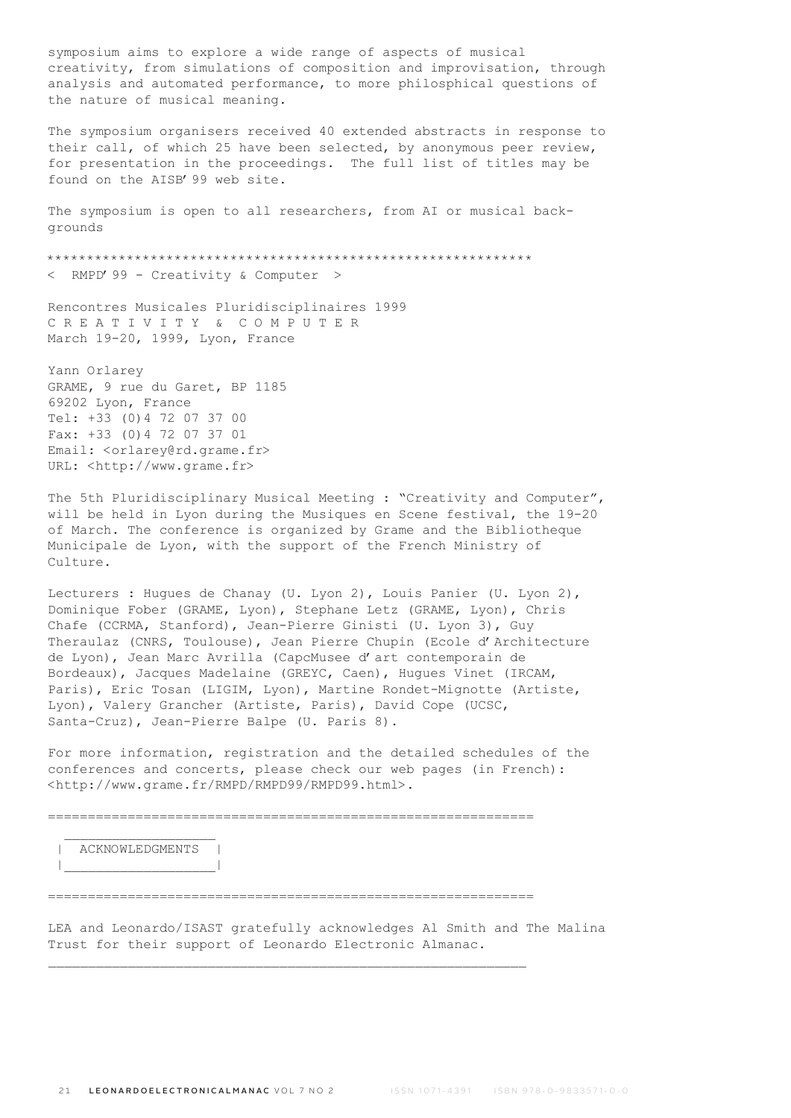symposium aims to explore a wide range of aspects of musical creativity, from simulations of composition and improvisation, through analysis and automated performance, to more philosphical questions of the nature of musical meaning.

The symposium organisers received 40 extended abstracts in response to their call, of which 25 have been selected, by anonymous peer review, for presentation in the proceedings. The full list of titles may be found on the AISB'99 web site.

The symposium is open to all researchers, from AI or musical backgrounds

\*\*\*\*\*\*\*\*\*\*\*\*\*\*\*\*\*\*\*\*\*\*\*\*\*\*\*\*\*\*\*\*\*\*\*\*\*\*\*\*\*\*\*\*\*\*\*\*\*\*\*\*\*\*\*\*\*\*\*\*\* < RMPD'99 - Creativity & Computer >

Rencontres Musicales Pluridisciplinaires 1999 C R E A T I V I T Y & C O M P U T E R March 19-20, 1999, Lyon, France

Yann Orlarey GRAME, 9 rue du Garet, BP 1185 69202 Lyon, France Tel: +33 (0)4 72 07 37 00 Fax: +33 (0)4 72 07 37 01 Email: <orlarey@rd.grame.fr> URL: <http://www.grame.fr>

The 5th Pluridisciplinary Musical Meeting : "Creativity and Computer", will be held in Lyon during the Musiques en Scene festival, the 19-20 of March. The conference is organized by Grame and the Bibliotheque Municipale de Lyon, with the support of the French Ministry of Culture.

Lecturers : Hugues de Chanay (U. Lyon 2), Louis Panier (U. Lyon 2), Dominique Fober (GRAME, Lyon), Stephane Letz (GRAME, Lyon), Chris Chafe (CCRMA, Stanford), Jean-Pierre Ginisti (U. Lyon 3), Guy Theraulaz (CNRS, Toulouse), Jean Pierre Chupin (Ecole d'Architecture de Lyon), Jean Marc Avrilla (CapcMusee d'art contemporain de Bordeaux), Jacques Madelaine (GREYC, Caen), Hugues Vinet (IRCAM, Paris), Eric Tosan (LIGIM, Lyon), Martine Rondet-Mignotte (Artiste, Lyon), Valery Grancher (Artiste, Paris), David Cope (UCSC, Santa-Cruz), Jean-Pierre Balpe (U. Paris 8).

For more information, registration and the detailed schedules of the conferences and concerts, please check our web pages (in French): <http://www.grame.fr/RMPD/RMPD99/RMPD99.html>.

=============================================================

 | ACKNOWLEDGMENTS | |\_\_\_\_\_\_\_\_\_\_\_\_\_\_\_\_\_\_\_|

=============================================================

LEA and Leonardo/ISAST gratefully acknowledges Al Smith and The Malina Trust for their support of Leonardo Electronic Almanac.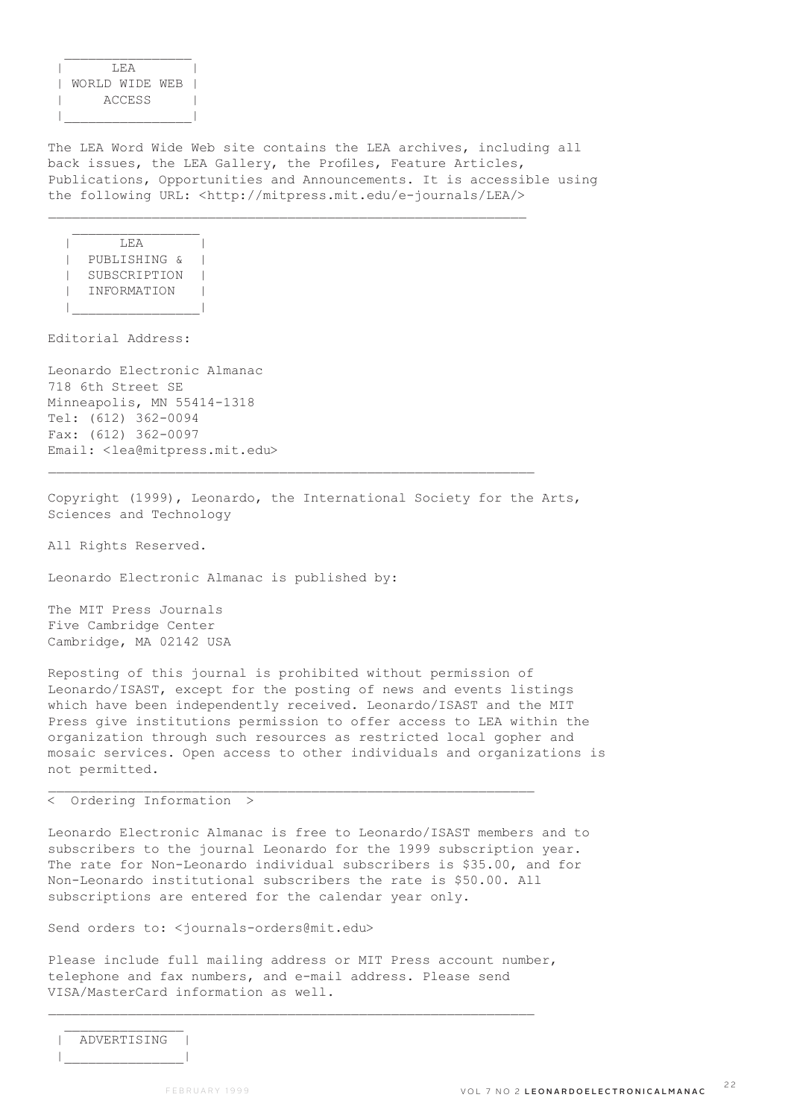| LEA | | WORLD WIDE WEB | | ACCESS | |\_\_\_\_\_\_\_\_\_\_\_\_\_\_\_\_|

 $\frac{1}{2}$  ,  $\frac{1}{2}$  ,  $\frac{1}{2}$  ,  $\frac{1}{2}$  ,  $\frac{1}{2}$  ,  $\frac{1}{2}$  ,  $\frac{1}{2}$  ,  $\frac{1}{2}$  ,  $\frac{1}{2}$  ,  $\frac{1}{2}$  ,  $\frac{1}{2}$  ,  $\frac{1}{2}$  ,  $\frac{1}{2}$  ,  $\frac{1}{2}$  ,  $\frac{1}{2}$  ,  $\frac{1}{2}$  ,  $\frac{1}{2}$  ,  $\frac{1}{2}$  ,  $\frac{1$ 

The LEA Word Wide Web site contains the LEA archives, including all back issues, the LEA Gallery, the Profiles, Feature Articles, Publications, Opportunities and Announcements. It is accessible using the following URL: <http://mitpress.mit.edu/e-journals/LEA/>

 $\mathcal{L}_\text{max}$ 

 $\Gamma$   $\Gamma$   $\Gamma$   $\Gamma$   $\Gamma$   $\Gamma$  | PUBLISHING & | | SUBSCRIPTION | | INFORMATION | |\_\_\_\_\_\_\_\_\_\_\_\_\_\_\_\_|

 $\mathcal{L}_\text{max}$ 

Editorial Address:

Leonardo Electronic Almanac 718 6th Street SE Minneapolis, MN 55414-1318 Tel: (612) 362-0094 Fax: (612) 362-0097 Email: <lea@mitpress.mit.edu>

Copyright (1999), Leonardo, the International Society for the Arts, Sciences and Technology

 $\mathcal{L}_\text{max}$ 

All Rights Reserved.

Leonardo Electronic Almanac is published by:

The MIT Press Journals Five Cambridge Center Cambridge, MA 02142 USA

Reposting of this journal is prohibited without permission of Leonardo/ISAST, except for the posting of news and events listings which have been independently received. Leonardo/ISAST and the MIT Press give institutions permission to offer access to LEA within the organization through such resources as restricted local gopher and mosaic services. Open access to other individuals and organizations is not permitted.

< Ordering Information >

Leonardo Electronic Almanac is free to Leonardo/ISAST members and to subscribers to the journal Leonardo for the 1999 subscription year. The rate for Non-Leonardo individual subscribers is \$35.00, and for Non-Leonardo institutional subscribers the rate is \$50.00. All subscriptions are entered for the calendar year only.

Send orders to: <journals-orders@mit.edu>

Please include full mailing address or MIT Press account number, telephone and fax numbers, and e-mail address. Please send VISA/MasterCard information as well.

| ADVERTISING |